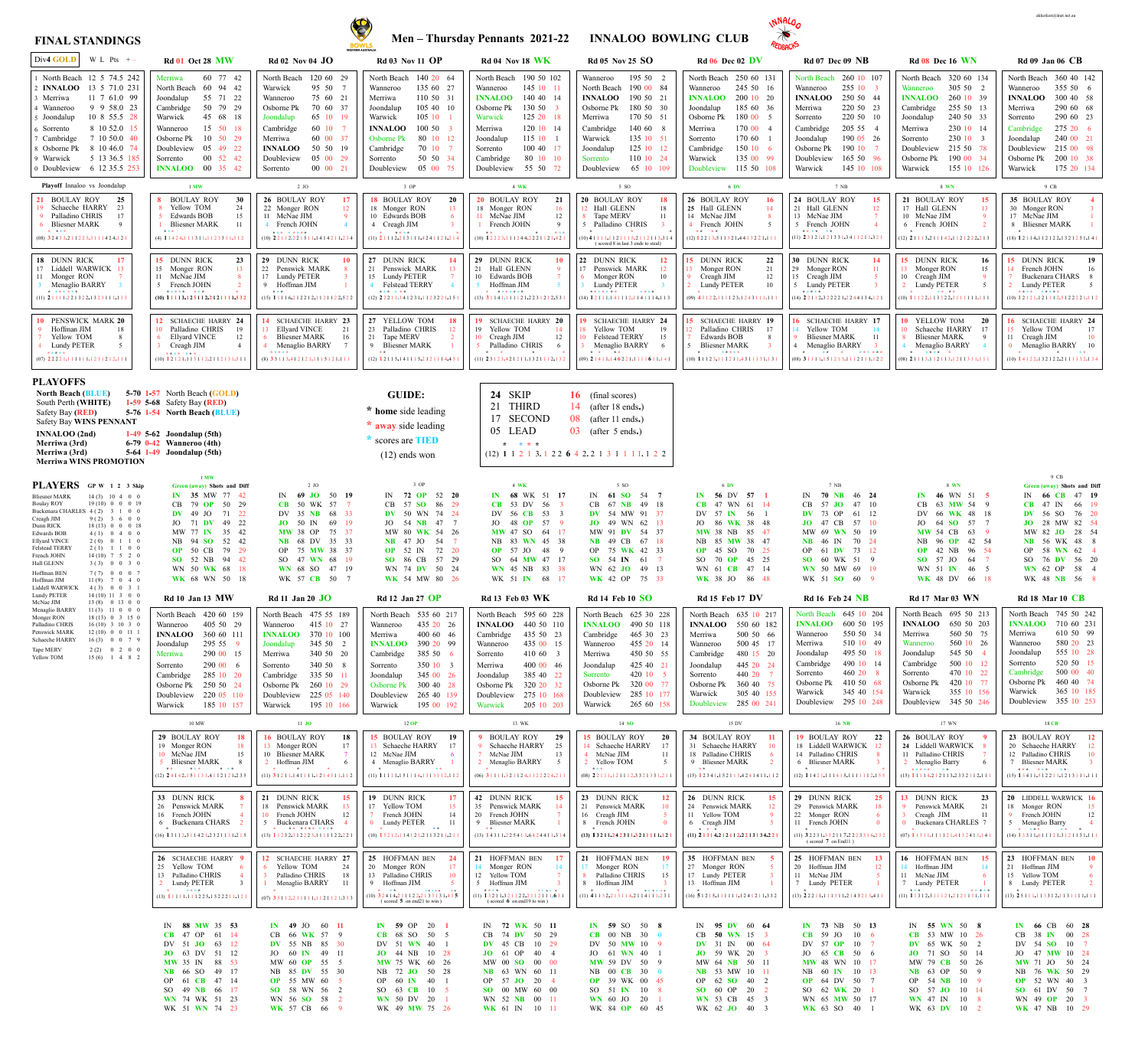## **Men – Thursday Pennants 2021-22 INNALOO BOWLING CLUB**

# **FINAL STANDINGS**



| Div4 GOLD<br>W L Pts $+-$                                                                                                                                                                                                                                                                                                                                                                                                                                                                                 | <b>Rd 01 Oct 28 MW</b>                                                                                                                                                                                                                                                   | Rd 02 Nov 04 $JO$                                                                                                                                                                                                                                                             | <b>Rd 03 Nov 11 OP</b>                                                                                                                                                                                                                                                                                                                                                                                                                                                   | <b>Rd 04 Nov 18 WK</b>                                                                                                                                                                                                                                                    | <b>Rd 05 Nov 25 SO</b>                                                                                                                                                                                                                                                              | $Rd$ 06 Dec 02 DV                                                                                                                                                                                                                                                         | <b>Rd 07 Dec 09 NB</b>                                                                                                                                                                                                                                                            | <b>Rd 08 Dec 16 WN</b>                                                                                                                                                                                                                                                    | <b>Rd 09 Jan 06 CB</b>                                                                                                                                                                                                                                                       |
|-----------------------------------------------------------------------------------------------------------------------------------------------------------------------------------------------------------------------------------------------------------------------------------------------------------------------------------------------------------------------------------------------------------------------------------------------------------------------------------------------------------|--------------------------------------------------------------------------------------------------------------------------------------------------------------------------------------------------------------------------------------------------------------------------|-------------------------------------------------------------------------------------------------------------------------------------------------------------------------------------------------------------------------------------------------------------------------------|--------------------------------------------------------------------------------------------------------------------------------------------------------------------------------------------------------------------------------------------------------------------------------------------------------------------------------------------------------------------------------------------------------------------------------------------------------------------------|---------------------------------------------------------------------------------------------------------------------------------------------------------------------------------------------------------------------------------------------------------------------------|-------------------------------------------------------------------------------------------------------------------------------------------------------------------------------------------------------------------------------------------------------------------------------------|---------------------------------------------------------------------------------------------------------------------------------------------------------------------------------------------------------------------------------------------------------------------------|-----------------------------------------------------------------------------------------------------------------------------------------------------------------------------------------------------------------------------------------------------------------------------------|---------------------------------------------------------------------------------------------------------------------------------------------------------------------------------------------------------------------------------------------------------------------------|------------------------------------------------------------------------------------------------------------------------------------------------------------------------------------------------------------------------------------------------------------------------------|
| North Beach 12 5 74.5 242<br><b>INNALOO</b> 13 5 71.0 231<br>11 7 61.0 99<br>Merriwa<br>9 9 58.0 23<br>⊦ Wanneroo<br>10 8 55.5 28<br>5 Joondalup<br>8 10 52.0 15<br>6 Sorrento<br>Cambridge<br>7 10 50.0 40<br>8 10 46.0 74<br>Osborne Pk<br>5 13 36.5 185<br>Warwick<br>6 12 35.5 253<br>Doubleview                                                                                                                                                                                                      | 60 77 42<br>Merriwa<br>60 94 42<br>North Beach<br>Joondalup<br>55 71 22<br>50 79 29<br>Cambridge<br>Warwick<br>45 68 18<br>15 50 18<br>Wanneroo<br>50 29<br>Osborne Pk<br>-10<br>Doubleview<br>05 49 22<br>00 52 42<br>Sorrento<br>00 35 42<br><b>INNALOO</b>            | 120 60 29<br>North Beach<br>95 50<br>Warwick<br>75 60 21<br>Wanneroo<br>70 60 37<br>Osborne Pk<br>Joondalup<br>65 10 19<br>60 10<br>Cambridge<br>60 00 37<br>Merriwa<br>50 50 19<br><b>INNALOO</b><br>05 00 29<br>Doubleview<br>00 00 21<br>Sorrento                          | North Beach<br>140 20 64<br>135 60 27<br>Wanneroo<br>110 50 31<br>Merriwa<br>105 40 10<br>Joondalup<br>105 10<br>Warwick<br>100 50<br><b>INNALOO</b><br>80 10 12<br>Osborne Pk<br>Cambridge<br>70 10<br>50 50 34<br>Sorrento<br>Doubleview<br>05 00 75                                                                                                                                                                                                                   | North Beach 190 50 102<br>145 10 11<br>Wanneroo<br>140 40 14<br><b>INNALOO</b><br>130 50<br>Osborne Pk<br>125 20 18<br>Warwick<br>120 10 14<br>Merriwa<br>11510<br>Joondalup<br>1004017<br>Sorrento<br>Cambridge<br>80 10 10<br>55 50 72<br>Doubleview                    | 195 50 2<br>Wanneroo<br>190 00 84<br>North Beach<br><b>INNALOO</b><br>190 50 21<br>180 50 30<br>Osborne Pk<br>170 50 51<br>Merriwa<br>140 60 8<br>Cambridge<br>135 10 51<br>Warwick<br>125 10 12<br>Joondalup<br>110 10 24<br>Sorrento<br>Doubleview<br>65 10 109                   | 250 60 131<br>North Beach<br>245 50 16<br>Wanneroo<br>200 10 20<br><b>INNALOO</b><br>Joondalup<br>185 60 36<br>180 00 5<br>Osborne Pk<br>170 00 4<br>Merriwa<br>170 60<br>Sorrento<br>150106<br>Cambridge<br>Warwick<br>135 00 99<br>Doubleview<br>115 50 108             | North Beach 260 10 107<br>255 10 3<br>Wanneroo<br>250 50 44<br><b>INNALOO</b><br>220 50 23<br>Merriwa<br>220 50 10<br>Sorrento<br>205 55<br>Cambridge<br>190 05 26<br>Joondalup<br>190 10<br>Osborne Pk<br>165 50 96<br>Doubleview<br>145 10 108<br>Warwick                       | North Beach 320 60 134<br>305 50 2<br>Wanneroo<br>260 10 39<br><b>INNALOO</b><br>255 50 13<br>Cambridge<br>240 50 33<br>Joondalup<br>230 10 14<br>Merriwa<br>230 10 3<br>Sorrento<br>215 50 78<br>Doubleview<br>190 00 34<br>Osborne Pk<br>155 10 126<br>Warwick          | 360 40 142<br>North Beach<br>355 50 6<br>Wanneroo<br>300 40 58<br><b>INNALOO</b><br>290 60 68<br>Merriwa<br>290 60 23<br>Sorrento<br>275 20 6<br>Cambridge<br>240 00 21<br>Joondalup<br>215 00 98<br>Doubleview<br>200 10 38<br>Osborne Pk<br>175 20 134<br>Warwick          |
| Playoff Innaloo vs Joondalup<br>21 BOULAY ROY<br>25<br>Schaeche HARRY<br>23<br>Palladino CHRIS<br>17<br><b>Bliesner MARK</b><br>-9<br>* ***<br>$(08)$ 3 2 4 3 3 $2$ 1 1 2 2 3 $3$ 1 1 1 4 2 4 $1$ 2                                                                                                                                                                                                                                                                                                       | $1$ MW<br>8 BOULAY ROY<br>30<br>8 Yellow TOM<br>24<br><b>Edwards BOB</b><br>15<br><b>Bliesner MARK</b><br>-11<br>***<br>$(4)$ 1 1 4 2 4, 1 1 1 3 1 1, 1 1 2 3 3 1 1, 3 1 2                                                                                               | $2$ JO<br>26 BOULAY ROY<br>17<br>22 Monger RON<br>12<br>11 McNae JIM<br>French JOHN<br>* * * * * * * * *<br>$(10)$ 2 2 1 1 2, 2 2 1 5 1 1, 1 4 1 4 2 1 1, 2 3 4                                                                                                               | 3 OP<br>18 BOULAY ROY<br><b>20</b><br>18 Monger RON<br>13<br>10 Edwards BOB<br>4 Creagh JIM<br>* * * *<br>$(11)$ 2 1 1 1 2, 2 1 3 1 1 1, 4 2 4 1 1 2 1, 2 1                                                                                                                                                                                                                                                                                                              | 4 WK<br>20 BOULAY ROY<br>21<br>18 Monger RON<br>16<br>11 McNae JIM<br>12<br>French JOHN<br>* * *<br>$(10)$ 1 2 2 2 3 $\cdot$ 1 1 2 4 4 $\cdot$ 2 2 2 1 1 2 1 $\cdot$ 4 2 1                                                                                                | 5 SO<br>20 BOULAY ROY<br><b>18</b><br>12 Hall GLENN<br>18<br>8 Tape MERV<br>11<br>5 Palladino CHRIS<br>$(10)$ 4 1 1 1 1 1 1 2 1 1 1 5 2 1 1 2 1 1 3 3 1 4<br>(scored 8 in last 3 ends to steal)                                                                                     | 6 DV<br>26 BOULAY ROY<br>25 Hall GLENN<br>14 McNae JIM<br>4 French JOHN<br>$(12)$ 1 2 2 1 3 5 1 1 3 2 1 4 4 1 3 2 2 1 1                                                                                                                                                   | 7 NB<br>24 BOULAY ROY<br>15<br>21 Hall GLENN<br>12<br>13 McNae JIM<br>French JOHN<br>* * * * * * *<br>$(11)$ 2 3 1 2 1 $\cdot$ 1 2 1 3 3 1 $\cdot$ 3 4 1 1 2 1 1 $\cdot$ 3 2                                                                                                      | 8 WN<br>21 BOULAY ROY<br>-15<br>17 Hall GLENN<br><sup>13</sup><br>10 McNae JIM<br>6 French JOHN<br>$(12)$ 2 1 1 1 3 . 2 1 1 1 4 2 . 1 1 2 1 2 2 2 . 2 1 3                                                                                                                 | $9$ CB<br>35 BOULAY ROY<br>30 Monger RON<br>17 McNae JIM<br>8 Bliesner MARK<br>$(18)$ 1 2 1 1 4, 1 1 2 1 2 2, 1 3 2 1 2 5 1, 1 4 1                                                                                                                                           |
| 18 DUNN RICK<br>17<br>17 Liddell WARWICK 13<br>11 Monger RON<br>Menaglio BARRY<br>* ******<br>$(11)$ 2 1 1 1 1 . 2 2 1 3 2 2 . 1 3 2 3 1 1 1 . 1 1                                                                                                                                                                                                                                                                                                                                                        | 15 DUNN RICK<br>23<br>15 Monger RON<br>-13<br>11 McNae JIM<br>5 French JOHN<br>***** ***<br>$(10)$ 1 1 1 1 3, 1 2 5 1 1 2, 2 1 2 1 1 1 1, 5 3                                                                                                                            | 29 DUNN RICK<br>10<br>22 Penswick MARK<br>17 Lundy PETER<br>Hoffman JIM<br>***<br>$(15)$ 1 1 1 1 6.2 1 2 2 1 2.1 1 2 1 1 2 2.5 2 2                                                                                                                                            | 27 DUNN RICK<br>21 Penswick MARK<br>15 Lundy PETER<br>Felstead TERRY<br>$x + x + x + x + 1$<br>$(12)$ 2 2 2 1 1 3 4 1 2 3 1 1 1 2 3 2 2 1 1 5                                                                                                                                                                                                                                                                                                                            | 29 DUNN RICK<br>21 Hall GLENN<br>10 Edwards BOB<br>Hoffman JIM<br>* * * * * * *<br>$(13)$ 3 1 1 4 1 1 1 1 1 2 1 2 2 3 1 2 1 2 - 5 3                                                                                                                                       | 22 DUNN RICK<br><b>12</b><br>17 Penswick MARK<br>Monger RON<br>10<br><b>Lundy PETER</b><br>* * * * * * *<br>* * * *<br>$(14)$ 1 2 1 1 1 1 4 1 1 1 2 1 1 4 1 1 1 4 1 1 3                                                                                                             | 15 DUNN RICK<br>22<br>13 Monger RON<br>21<br>Creagh JIM<br>12<br><b>Lundy PETER</b><br>10<br>$(09)$ 4 3 1 2 2, 1 1 1 1 2 3, 1 2 4 3 1 1 1, 1 1                                                                                                                            | 30 DUNN RICK<br>Monger RON<br>29<br>11<br>Creagh JIM<br>15<br><b>Lundy PETER</b><br>$(14)$ 2 2 1 1 2 3 2 2 2 2 1 2 2 4 4 1 3 4 1 2                                                                                                                                                | 15 DUNN RICK<br>16<br>13 Monger RON<br>15<br>10 Creagh JIM<br><b>Lundy PETER</b><br>* * * *<br>$(10)$ 1 1 1 2 2, 1 1 3 3 2 2, 3 1 1 1 1 1 1 1 1 1                                                                                                                         | <b>DUNN RICK</b><br>19<br>15 <sup>15</sup><br>14 French JOHN<br>16<br>Buckenara CHARS 8<br><b>Lundy PETER</b><br>$\sim$<br>* * * * * * * * *<br>$(10)$ 1 2 1 2 1 $\cdot$ 1 2 1 1 1 2 $\cdot$ 5 1 2 2 2 2 1 $\cdot$ 1 1 2                                                     |
| 10 PENSWICK MARK 20<br>Hoffman JIM<br>18<br>Yellow TOM<br>8<br><b>Lundy PETER</b><br>-5<br>*****<br>$(07)$ 2 2 2 2 1 1 1 1 1 1 1 1 2 3 1 2 1 2 1 1                                                                                                                                                                                                                                                                                                                                                        | 12 SCHAECHE HARRY 24<br>10 Palladino CHRIS<br>- 1 G<br><b>Ellyard VINCE</b><br>12<br>Creagh JIM<br>$\overline{4}$<br>* * * * * * *<br>$(10)$ 1 2 1 2 1 $\cdot$ 1 1 5 1 1 2 $\cdot$ 2 1 1 2 1 3 1 $\cdot$ 5 1                                                             | 14 SCHAECHE HARRY 23<br><b>Ellyard VINCE</b><br>21<br><b>Bliesner MARK</b><br>16<br>Menaglio BARRY<br>*****<br>$(8)$ 3 3 1 1 3.4 1 2 1 2 1.1 1 1 5 1 2 1.1                                                                                                                    | 27 YELLOW TOM<br>23 Palladino CHRIS<br>21 Tape MERV<br>9 Bliesner MARK<br>$\mathcal{H}^{\pm}$<br>$(12)$ 1 2 1 1 5 1 4 1 1 1 5 2 1 2 1 1 1 4 4 5                                                                                                                                                                                                                                                                                                                          | 19 SCHAECHE HARRY 20<br>19 Yellow TOM<br>14<br>10 Creagh JIM<br>12<br>Palladino CHRIS<br>$(11)$ 2 3 1 2 3 4 2 1 2 1 1 1 3 2 1 1 1 2 1 3                                                                                                                                   | 19 SCHAECHE HARRY 24<br>Yellow TOM<br>19<br>Felstead TERRY<br>15<br>Menaglio BARRY<br>$\mathcal{R} = -\mathcal{R}$<br>* *<br>$(09)$ 2 1 4 1 1 $\sqrt{14}$ 1 4 6 2 2 1 $\sqrt{1111611}$ 1 $\sqrt{114141}$                                                                            | 15 SCHAECHE HARRY 19<br>Palladino CHRIS<br><b>Edwards BOB</b><br><b>Bliesner MARK</b><br>* * * * *<br>$(10)$ 1 1 1 2 3 1 1 1 2 1 1 4 3 1 1 1 3 1 1 3                                                                                                                      | SCHAECHE HARRY 17<br>Yellow TOM<br><b>Bliesner MARK</b><br>11<br>Menaglio BARRY<br>$\overline{4}$<br>$\begin{array}{cccccccccc} \star & \star & & & \star & & \star \end{array}$<br>* * * * * *<br>$(08)$ 3 1 1 1 1 1 5 1 2 1 3 1 1 1 2 1 1 1 1 1 2 2                             | 10 YELLOW TOM<br><b>20</b><br>10 Schaeche HARRY<br><b>Bliesner MARK</b><br>Menaglio BARRY<br>* * * * * *                                                                                                                                                                  | 16 SCHAECHE HARRY 24<br>17<br>15 Yellow TOM<br>Creagh JIM<br>10<br>11<br>Menaglio BARRY 10<br>$\mathbf{0}$<br>$* *$<br>$(10)$ 1 4 1 2 2, 1 3 2 1 2 2, 2 1 1 1 1 3 2, 1 3 4                                                                                                   |
| <b>PLAYOFFS</b><br><b>North Beach (BLUE)</b><br>South Perth (WHITE)<br>Safety Bay (RED)<br><b>Safety Bay WINS PENNANT</b><br><b>INNALOO</b> (2nd)<br>Merriwa (3rd)<br>Merriwa (3rd)<br><b>Merriwa WINS PROMOTION</b>                                                                                                                                                                                                                                                                                      | $5-70$ 1-57 North Beach (GOLD)<br><b>1-59 5-68</b> Safety Bay ( <b>RED</b> )<br>5-76 1-54 North Beach (BLUE)<br>$1-49$ 5-62 Joondalup (5th)<br>6-79 0-42 Wanneroo (4th)<br>5-64 1-49 Joondalup (5th)                                                                     |                                                                                                                                                                                                                                                                               | <b>GUIDE:</b><br>* home side leading<br>* away side leading<br>* scores are <b>TIED</b><br>$(12)$ ends won                                                                                                                                                                                                                                                                                                                                                               | SKIP<br>24<br><b>THIRD</b><br>21<br>17 SECOND<br>05 LEAD<br>$\star$ $\star$ $\star$ $\star$                                                                                                                                                                               | 16 (final scores)<br>14 (after 18 ends.)<br>$\overline{08}$ (after 11 ends.)<br>$03$ (after 5 ends.)<br>$(12)$ 1 1 2 1 3 1 2 2 6 4 2 2 1 3 1 1 1 1 1 2 2                                                                                                                            |                                                                                                                                                                                                                                                                           |                                                                                                                                                                                                                                                                                   |                                                                                                                                                                                                                                                                           |                                                                                                                                                                                                                                                                              |
| PLAYERS GP W 1 2 3 Skip<br><b>Bliesner MARK</b><br>$14(3)$ 10 4 0 0<br>19(10) 0 0 0 19<br><b>Boulay ROY</b><br>Buckenara CHARLES 4 (2) 3 1 0 0<br>Creagh JIM<br>$9(2)$ 3 6 0 0<br>$18(13)$ 0 0 0 18<br>Dunn RICK<br>$4(1)$ 0 4 0 0<br><b>Edwards BOB</b><br>$2(0)$ 0 1 1 0<br>Ellyard VINCE<br>Felstead TERRY<br>$2(1)$ 1 1 0 0<br>$14(10)$ 7 5 2 0<br>French JOHN<br>$3(3)$ 0 0 3 0<br>Hall GLENN<br>$7(7)$ 0 0 0 7<br>Hoffman BEN<br>$11(9)$ 7 0 4 0<br>Hoffman JIM<br>$4(3)$ 0 0 3 1<br>Liddell WARWIC | $1$ MW<br>Green (away) Shots and Diff<br>IN 35 MW 77 42<br>CB 79 OP 50 29<br>$DV$ 49 JO<br>71 22<br>JO 71 DV 49 22<br>MW 77 IN 35 42<br>NB 94 SO 52 42<br>OP 50 CB 79 29<br>SO 52 NB 94 42<br>WN 50 WK 68 18<br>WK 68 WN 50 18                                           | $2$ JO<br>IN 69 JO 50 19<br>CB 50 WK 57 7<br>DV 35 NB 68 33<br>69 19<br>$JO$ 50 IN<br>MW 38 OP 75 37<br>NB 68 DV 35 33<br>OP 75 MW 38 37<br>SO 47 WN 68 19<br>WN 68 SO 47 19<br>WK 57 CB 50 7                                                                                 | 3 OP<br><b>IN 72</b> OP<br>52 20<br>86 29<br>CB 57 SO<br>74 24<br><b>DV</b> 50 WN<br>47 7<br>$JO = 54$ NB<br>MW 80 WK 54 26<br><b>NB</b> 47 JO<br>54 7<br>72 20<br><b>OP</b> 52 IN<br><b>SO</b> 86 CB<br>57 29<br>WN 74 DV 50 24<br>WK 54 MW 80 26                                                                                                                                                                                                                       | 4 WK<br>IN 68 WK 51 17<br><b>CB</b> 53 DV 56<br>DV 56 CB 53 3<br>JO 48 OP 57<br><b>MW</b> 47 SO 64 17<br>NB 83 WN 45 38<br><b>OP</b> 57 JO 48<br>- 9<br>SO 64 MW 47 17<br>WN 45 NB 83 38<br>WK 51 IN 68 17                                                                | 5 SO<br>61 SO 54 7<br>$\mathbb{N}$<br>CB 67 NB 49 18<br>DV 54 MW 91 37<br><b>JO</b> 49 WN 62 13<br>MW 91 DV 54 37<br><b>NB</b> 49 CB 67 18<br>OP 75 WK 42 33<br><b>SO</b> 54 IN 61 7<br>WN 62 JO 49 13<br>WK 42 OP 75 33                                                            | 6 DV<br>IN 56 DV 57 1<br>$CB$ 47<br>WN 61 14<br>DV 57 IN 56<br>JO 86 WK 38 48<br><b>MW 38 NB 85 47</b><br>NB 85 MW 38 47<br>$OP$ 45 SO<br>70 25<br>SO 70 OP 45 25<br>WN 61 CB 47 14<br>WK 38 JO 86 48                                                                     | 7 NB<br>IN 70 NB 46 24<br>CB 57 JO 47 10<br>DV 73 OP 61 12<br>$JO$ 47 CB<br>57 10<br>MW 69 WN 50 19<br>NB 46 IN 70 24<br>OP 61 DV 73 12<br>SO 60 WK 51 9<br>WN 50 MW 69 19<br>WK 51 SO 60 9                                                                                       | 8 WN<br>IN 46 WN 51 5<br>CB 63 MW 54 9<br>DV 66 WK 48 18<br>JO 64 SO 57 7<br>MW 54 CB 63 9<br>NB 96 OP 42 54<br><b>OP</b> 42 NB 96 54<br>SO 57 JO 64 7<br>WN 51 IN 46 5<br>WK 48 DV 66 18                                                                                 | 9 CB<br>Green (away) Shots and Diff<br>66 CB 47 19<br>66 19<br>47 IN<br>56 SO 76 20<br>DV<br>28 MW 82 54<br>JO<br>MW 82 JO 28 54<br>NB 56 WK 48 8<br>OP 58 WN 62 4<br>SO 76 DV 56 20<br>WN 62 OP 58 4<br>WK 48 NB 56 8                                                       |
| $14(10)$ 11 3 0 0<br><b>Lundy PETER</b><br>$13(8)$ 0 13 0 0<br>McNae JIM<br>Menaglio BARR'<br>$11(3)$ 11 0 0 0                                                                                                                                                                                                                                                                                                                                                                                            | <b>Rd 10 Jan 13 MW</b>                                                                                                                                                                                                                                                   | <b>Rd</b> 11 Jan 20 JO                                                                                                                                                                                                                                                        | Rd 12 Jan 27 $\overline{OP}$                                                                                                                                                                                                                                                                                                                                                                                                                                             | <b>Rd 13 Feb 03 WK</b>                                                                                                                                                                                                                                                    | <b>Rd 14 Feb 10 SO</b>                                                                                                                                                                                                                                                              | <b>Rd 15 Feb 17 DV</b>                                                                                                                                                                                                                                                    | <b>Rd</b> 16 Feb 24 <b>NB</b>                                                                                                                                                                                                                                                     | <b>Rd 17 Mar 03 WN</b>                                                                                                                                                                                                                                                    | <b>Rd 18 Mar 10 CB</b>                                                                                                                                                                                                                                                       |
| $18(13)$ 0 3 15 0<br>Monger RON<br>$16(10)$ 3 10 3 0<br>Palladino CHRIS<br>Penswick MARK<br>$12(10)$ 0 0 11 1<br>Schaeche HARRY<br>$16(3)$ 0 0 7 9<br>Tape MERV<br>$2(2)$ 0 2 0 0<br>Yellow TOM<br>$15(6)$ 1 4 8 2                                                                                                                                                                                                                                                                                        | North Beach 420 60 159<br>405 50 29<br>Wanneroo<br>360 60 111<br><b>INNALOO</b><br>295 55 9<br>Joondalup<br>290 00 15<br>Merriwa<br>290 00 6<br>Sorrento<br>285 10 20<br>Cambridge<br>Osborne Pk 250 50 24<br>220 05 110<br>Doubleview<br>185 10 157<br>Warwick<br>10 MW | North Beach 475 55 189<br>415 10 27<br>Wanneroo<br>370 10 100<br><b>INNALOO</b><br>345 50 2<br>Joondalup<br>340 50 20<br>Merriwa<br>340 50 8<br>Sorrento<br>335 50 11<br>Cambridge<br>260 10 29<br>Osborne Pk<br>225 05 140<br>Doubleview<br>195 10 166<br>Warwick<br>$11$ JO | North Beach 535 60 217<br>435 20 26<br>Wanneroo<br>400 60 46<br>Merriwa<br>390 20 99<br><b>INNALOO</b><br>385 50 6<br>Cambridge<br>350 10 3<br>Sorrento<br>345 00 26<br>Joondalup<br>300 40 28<br><b>Osborne Pk</b><br>265 40 139<br>Doubleview<br>195 00 192<br>Warwick<br>$12$ OP                                                                                                                                                                                      | North Beach 595 60 228<br><b>INNALOO</b> 440 50 110<br>435 50 23<br>Cambridge<br>435 00 15<br>Wanneroo<br>410 60 3<br>Sorrento<br>400 00 46<br>Merriwa<br>385 40 22<br>Joondalup<br>320 20 32<br>Osborne Pk<br>275 10 168<br>Doubleview<br>205 10 203<br>Warwick<br>13 WK | North Beach 625 30 228<br>490 50 118<br><b>INNALOO</b><br>Cambridge<br>465 30 23<br>455 20 14<br>Wanneroo<br>450 50 55<br>Merriwa<br>425 40 21<br>Joondalup<br>420 10 5<br>Sorrento<br>320 00 77<br>Osborne Pk<br>285 10 177<br>Doubleview<br>265 60 158<br>Warwick<br>14 <b>SO</b> | North Beach 635 10 217<br><b>INNALOO</b> 550 60 182<br>500 50 66<br>Merriwa<br>500 45 17<br>Wanneroo<br>Cambridge<br>480 15 20<br>445 20 24<br>Joondalup<br>440 20 7<br>Sorrento<br>360 40 75<br>Osborne Pk<br>305 40 155<br>Warwick<br>285 00 241<br>Doubleview<br>15 DV | North Beach 645 10 204<br><b>INNALOO</b><br>600 50 195<br>550 50 34<br>Wanneroo<br>510 10 49<br>Merriwa<br>495 50 18<br>Joondalup<br>Cambridge<br>490 10 14<br>460 20<br>Sorrento<br>410 50 68<br>Osborne Pk<br>345 40 154<br>Warwick<br>295 10 248<br>Doubleview<br>16 <b>NB</b> | North Beach 695 50 213<br><b>INNALOO</b> 650 50 203<br>560 50 75<br>Merriwa<br>560 10 26<br>Wanneroo<br>Joondalup<br>545 50 4<br>Cambridge<br>500 10 12<br>470 10 22<br>Sorrento<br>420 10 77<br>Osborne Pk<br>Warwick<br>355 10 156<br>345 50 246<br>Doubleview<br>17 WN | North Beach 745 50 242<br>710 60 231<br><b>INNALOO</b><br>610 50 99<br>Merriwa<br>580 20 23<br>Wanneroo<br>555 10 28<br>Joondalup<br>520 50 15<br>Sorrento<br>Cambridge<br>500 00 40<br>460 40 74<br>Osborne Pk<br>365 10 185<br>Warwick<br>355 10 253<br>Doubleview<br>18CB |
|                                                                                                                                                                                                                                                                                                                                                                                                                                                                                                           | 29 BOULAY ROY<br>18<br>19 Monger RON<br>-18<br>10 McNae JIM<br>5 Bliesner MARK<br>** *** ***<br>$(12)$ 2 4 1 4 2, 1 5 1 1 3 1, 4 1 1 2 1 2 1, 2 3 5                                                                                                                      | <b>16 BOULAY ROY</b><br>18<br>13 Monger RON<br>17<br>10 Bliesner MARK<br>Hoffman JIM<br>$(11)$ 3 1 2 1 1 .1 4 1 1 1 1 .1 2 1 4 3 1 1 .1 1 2                                                                                                                                   | 15 BOULAY ROY<br>19<br>13 Schaeche HARRY<br>17<br>12 McNae JIM<br>4 Menaglio BARRY<br>* *<br>$(11)$ 1 1 1 1 1 1 5 1 1 1 4 1 3 1 3 1 1 2 1 1                                                                                                                                                                                                                                                                                                                              | 9 BOULAY ROY<br>29<br>9 Schaeche HARRY<br>25<br>McNae JIM<br>13<br>2 Menaglio BARRY<br>$\sim$<br>$(06)$ 3 1 1 1 1 3 2 1 1 2 4 1 1 2 2 2 2 4 2 1                                                                                                                           | 15 BOULAY ROY<br><b>20</b><br>14 Schaeche HARRY<br>4 McNae JIM<br>11<br>$\sqrt{2}$<br>2 Yellow TOM<br>* * *<br>$(08)$ 2 2 1 1 1 1 2 1 1 1 2 3 3 2 1 3 3 1 2 1 1                                                                                                                     | 34 BOULAY ROY<br>31 Schaeche HARRY<br>18 Palladino CHRIS<br>9 Bliesner MARK<br>$(15)$ 1 2 3 4 1.1 5 2 1 1 3.4 2 4 1 4 1 1.1 1 2                                                                                                                                           | <b>19 BOULAY ROY</b><br>22<br>18 Liddell WARWICK<br>14 Palladino CHRIS<br>6 Bliesner MARK<br>$(12)$ 1 1 4 2 1, 1 1 4 1 5, 1 1 1 1 1 2, 1 5 5                                                                                                                                      | 26 BOULAY ROY<br>24 Liddell WARWICK<br>11 Palladino CHRIS<br>2 Menaglio Barry<br>- 6<br>***** **<br>$(15)$ 1 1 1 1 4.2 1 2 1 1 3.2 3 3 2 1 1 2.1 1                                                                                                                        | 23 BOULAY ROY<br>12<br>20 Schaeche HARRY<br>12<br>12 Palladino CHRIS<br>10<br><b>Bliesner MARK</b><br>*** *** **<br>$(15)$ 1 3 4 1 1, 5 1 2 2 1 1, 1 2 1 3 1 1 1, 1 1 1                                                                                                      |
|                                                                                                                                                                                                                                                                                                                                                                                                                                                                                                           | 33 DUNN RICK<br>26 Penswick MARK<br>16 French JOHN<br>6 Buckenara CHARS<br>$(16)$ 1 3 1 1 2.3 1 1 4 2 1.2 3 2 1 1 3 1.2 1 :                                                                                                                                              | 21 DUNN RICK<br>15<br>18 Penswick MARK<br>13<br>10 French JOHN<br>12<br>Buckenara CHARS<br>$\sim$<br>* ** **** ****                                                                                                                                                           | 19 DUNN RICK<br>17<br>17 Yellow TOM<br>15<br>French JOHN<br>14<br>0 Lundy PETER<br>-11<br>$\star$ $\star$<br>$(10)$ 1 5 2 1 2, 1 1 4 1 2 1, 2 1 1 3 2 1 1, 2 1                                                                                                                                                                                                                                                                                                           | 42 DUNN RICK<br>35 Penswick MARK<br>20 French JOHN<br>9 Bliesner MARK<br>$* *$<br>$(13)$ 1 4 3 1 1, 2 2 5 4 1 3, 6 4 2 4 4 1 1, 3 1 4                                                                                                                                     | 23 DUNN RICK<br>12<br>21 Penswick MARK<br>10<br>16 Creagh JIM<br>5 <sup>5</sup><br>8 French JOHN<br>$(13)$ 1 3 2 1 1 2 4 2 3 1 1 3 2 1 1 1 1 1 1 1 2                                                                                                                                | 26 DUNN RICK<br>24 Penswick MARK<br>11 Yellow TOM<br>6 Creagh JIM<br>$\begin{array}{cccccccccccccc} \star & \star & \star & \star \end{array}$<br>$(11)$ 2 1 3 1 4, 2 1 2 1 1 2, 2 2 1 3 1 3 4, 2 2                                                                       | 29 DUNN RICK<br>25 <sup>1</sup><br>29 Penswick MARK<br>18<br>22 Monger RON<br>-6<br>11 French JOHN<br>$\Omega$<br>$(11)$ 3 2 2 3 1 3 3 2 1 1 7 2 2 2 3 3 1 6 2 3 2<br>$(\text{scored } 7 \text{ on } \text{End} 11)$                                                              | 13 DUNN RICK<br>23<br>9 Penswick MARK<br>21<br>Creagh JIM<br>-11<br>0 Buckenara CHARLES 7<br>$(07)$ 1 1 3 1 1 1 1 1 1 2 1 4 1 3 2 4 1 1 1 4                                                                                                                               | 20 LIDDELL WARWICK 16<br>18 Monger RON<br>15<br>12<br>9 French JOHN<br>5 Menaglio Barry<br>$\overline{4}$<br>$(14)$ 1 3 3 1 1 6 1 1 1 2 1 3 1 2 1 1 3 1 1 1 1                                                                                                                |
|                                                                                                                                                                                                                                                                                                                                                                                                                                                                                                           | 26 SCHAECHE HARRY 9<br>25 Yellow TOM<br>13 Palladino CHRIS<br>2 Lundy PETER<br>* * * *<br>$(13)$ 1 1 1 1 1 1 1 1 2 2 5 1 5 2 2 2 1 1 1 2                                                                                                                                 | 12 SCHAECHE HARRY 27<br>Yellow TOM<br>24<br>6<br>Palladino CHRIS<br>18<br>Menaglio BARRY<br>- 11<br>$(07)$ 3 5 1 1 2, 2 3 1 1 1 1, 1 1 2 1 1 2 1, 3 3 3                                                                                                                       | 25 HOFFMAN BEN<br>24<br>20 Monger RON<br>17<br>13 Palladino CHRIS<br>10<br>9 Hoffman JIM<br>* **<br>$\begin{array}{cccccccccccccc} & {\color{red}\star} & {\color{red}\star} & {\color{red}\star} & {\color{red}\star} & {\color{red}\star} & {\color{red}\star} & {\color{red}\star} & {\color{red}\star} & {\color{red}\star} & {\color{red}\star} \end{array}$<br>$(10)$ 3 2 4 1 4 $2$ 1 1 1 2 2 $2$ 1 3 3 1 3 1 $4$ 3 5<br>$\frac{1}{2}$ (scored 5 on end 21 to win) | 21 HOFFMAN BEN<br>$\vert$ 14 Monger RON<br>14<br>12 Yellow TOM<br>5 Hoffman JIM<br>$* * * *$<br>*****<br>$(11)$ 1 3 2 1 1 3 2 1 1 2 2 2 1 1 2 1 1 1 6 3 1<br>$\frac{1}{2}$ (scored 6 on end 19 to win)                                                                    | 21 HOFFMAN BEN<br>-19<br>17 Monger RON<br>17<br>Palladino CHRIS<br>15<br>8 <sup>1</sup><br>8 Hoffman JIM<br>* * * * * *<br>$(11)$ 4 1 1 3 2, 2 1 3 1 1 4, 2 1 1 4 1 1 1, 2 3 1                                                                                                      | 35 HOFFMAN BEN<br>27 Monger RON<br>17 Lundy PETER<br>13 Hoffman JIM<br>$(16)$ 5 1 2 1 5 1 1 1 1 1 1 1 1 2 4 1 2 1 1 3 3 2                                                                                                                                                 | 25 HOFFMAN BEN<br>20 Hoffman JIM<br>12<br>McNae JIM<br>11<br>Lundy PETER<br>$(13)$ 2 2 2 1 1, 1 1 3 1 1, 2 1 4 3 2 1 3, 4 1 1                                                                                                                                                     | 16 HOFFMAN BEN<br>-15<br>14 Hoffman JIM<br>14<br>11 McNae JIM<br>- 6<br>Lundy PETER<br>$7\phantom{.0}$<br>*****<br>$+ + +$<br>$(11)$ 1 1 3 1 2 3 1 1 1 2 1 2 1 2 1 1 3 1 1 1                                                                                              | 23 HOFFMAN BEN<br>21 Hoffman JIM<br>15 Yellow TOM<br>8 Lundy PETER<br>2                                                                                                                                                                                                      |
|                                                                                                                                                                                                                                                                                                                                                                                                                                                                                                           | IN 88 MW 35 53<br><b>CB</b> 47 OP 61 14<br>DV 51 JO 63 12<br><b>JO</b> 63 DV 51 12<br><b>MW</b> 35 IN 88 53<br>NB 66 SO 49 17<br>OP 61 CB 47 14<br>SO 49 NB 66 17<br>WN 74 WK 51 23<br>WK 51 WN 74 23                                                                    | IN 49 JO 60 11<br>CB 66 WK 57 9<br>DV 55 NB 85 30<br>49 11<br>$JO = 60$ IN<br><b>MW 60 OP</b><br>55 5<br>NB 85 DV 55 30<br>OP 55 MW 60 5<br>SO 58 WN 56 2<br>WN 56 SO 58 2<br>WK 57 CB 66 9                                                                                   | $IN$ 59 OP<br>20<br><b>CB</b> 68 SO 50<br>- 5<br>DV 51 WN 40<br><b>JO</b> 44 NB 10 28<br><b>MW</b> 75 WK 60 26<br>NB 72 JO 50 28<br>OP 60 IN 40<br>SO 63 CB 10<br>$\sqrt{5}$<br><b>WN</b> 50 DV 20<br>WK 49 MW 75 26                                                                                                                                                                                                                                                     | IN 72 WK 50 11<br>CB 74 DV 50 29<br>DV 45 CB 10 29<br><b>JO</b> 61 OP 40 4<br>MW 00 SO 00 00<br>NB 63 WN 60 11<br>OP 57 JO 20 4<br>SO 00 MW 60 00<br>WN 52 NB 00 11<br>WK 61 IN 10 11                                                                                     | IN 59 SO 50 8<br>CB 00 NB 30 0<br>DV 50 MW 10 9<br>JO 61 WN 40<br><b>MW 59 DV 50 9</b><br>NB 00 CB 30 0<br><b>OP</b> 39 WK 00 45<br>SO 51 IN 10 8<br>WN 60 JO 20 1<br>WK 84 OP 60 45                                                                                                | IN 95 DV 60 64<br>CB 50 WN 15 3<br><b>DV</b> 31 IN 00 64<br><b>JO</b> 59 WK 20 3<br>MW 64 NB 50 11<br><b>NB</b> 53 MW 10 11<br>OP 62 SO 40 2<br>SO 60 OP 20 2<br>WN 53 CB 45 3<br>WK 62 JO 40 3                                                                           | IN 73 NB 50 13<br>CB 59 JO 10 6<br>DV 57 OP 10 7<br>$JO$ 65 $CB$ 50 6<br><b>MW</b> 48 WN 10 17<br>NB 60 IN 10 13<br><b>OP</b> 64 DV 50 7<br>SO 62 WK 20 1<br>WN 65 MW 50 17<br>WK 63 SO 40 1                                                                                      | IN 55 WN 50 8<br>CB 53 MW 10 26<br>DV 65 WK 50 2<br>JO 71 SO 50 14<br>MW 79 CB 50 26<br>NB 63 OP 50 9<br>OP 54 NB 10 9<br>SO 57 JO 10 14<br><b>WN</b> 47 IN 10 8<br>WK 63 DV 10 2                                                                                         | IN 66 CB 60 28<br>CB 38 IN 00 28<br>DV 54 SO 10 7<br>JO 47 MW 10 24<br><b>MW</b> 71 JO 50 24<br>NB 76 WK 50 29<br><b>OP</b> 52 WN 40 3<br>SO 61 DV 50 7<br>WN 49 OP 20 3<br>WK 47 NB 10 29                                                                                   |



| $Rd$ 06 Dec 02 DV                                                                                                                                                                                                                                                                                                       | <b>Rd 07 Dec 09 NB</b>                                                                                                                                                                                                                                                                                             | <b>Rd 08 Dec 16 WN</b>                                                                                                                                                                                                                                                                            | <b>Rd 09 Jan 06 CB</b>                                                                                                                                                                                                                                                                                                                                                       |
|-------------------------------------------------------------------------------------------------------------------------------------------------------------------------------------------------------------------------------------------------------------------------------------------------------------------------|--------------------------------------------------------------------------------------------------------------------------------------------------------------------------------------------------------------------------------------------------------------------------------------------------------------------|---------------------------------------------------------------------------------------------------------------------------------------------------------------------------------------------------------------------------------------------------------------------------------------------------|------------------------------------------------------------------------------------------------------------------------------------------------------------------------------------------------------------------------------------------------------------------------------------------------------------------------------------------------------------------------------|
| North Beach<br>250 60<br>131<br>245 50<br>Wanneroo<br>16<br>200 10<br><b>INNALOO</b><br>20<br>185 60<br>Joondalup<br>36<br>180 00<br>Osborne Pk<br>5<br>170 00<br>Merriwa<br>$\overline{4}$<br>170 60<br>$\mathbf{1}$<br>Sorrento<br>150 10<br>Cambridge<br>6<br>135 00<br>Warwick<br>99<br>115 50<br>Doubleview<br>108 | North Beach<br>260 10<br>107<br>255 10<br>Wanneroo<br>3<br>250 50<br><b>INNALOO</b><br>44<br>220 50<br>Merriwa<br>23<br>220 50<br>10<br>Sorrento<br>205 55<br>Cambridge<br>$\overline{4}$<br>190 05<br>Joondalup<br>26<br>Osborne Pk<br>190 10<br>$\tau$<br>Doubleview<br>165 50<br>96<br>145 10<br>Warwick<br>108 | North Beach<br>320 60<br>134<br>305 50<br>Wanneroo<br>2<br>260 10<br><b>INNALOO</b><br>39<br>255 50<br>Cambridge<br>13<br>240 50<br>Joondalup<br>33<br>Merriwa<br>230 10<br>14<br>230 10<br>3<br>Sorrento<br>Doubleview<br>215 50<br>78<br>190 00<br>Osborne Pk<br>34<br>Warwick<br>155 10<br>126 | North Beach<br>360 40 14<br>355 50<br>Wanneroo<br>6<br>300 40<br><b>INNALOO</b><br>5 <sub>i</sub><br>290 60<br>$6^{\circ}$<br>Merriwa<br>290 60<br>2 <sup>2</sup><br>Sorrento<br>275 20<br>6<br>Cambridge<br>240 00<br>Joondalup<br>$\overline{2}$<br>Doubleview<br>215 00<br>$\overline{Q}$<br>200 10<br>Osborne Pk<br>$\overline{3}$<br>175 20<br>Warwick<br><sup>13</sup> |
| 6 DV<br><b>6 BOULAY ROY</b><br>16<br>Hall GLENN<br>14<br>:5<br>McNae JIM<br>8<br>4<br>$\overline{\phantom{0}}$<br>French JOHN<br>$\pm$ *<br>* *<br>2) 1 2 2 1 3 - 5 1 1 3 2 1 - 4 4 1 3 2 2 1 - 1 1 1                                                                                                                   | 7 NB<br>15<br>24 BOULAY ROY<br>Hall GLENN<br>12<br>21<br>$\overline{7}$<br>McNae JIM<br>13<br>$\overline{4}$<br>$\overline{\phantom{0}}$<br>French JOHN<br>**** **<br>$(11)$ 2 3 1 2 1 1 2 1 3 3 1 3 4 1 1 2 1 1 3 2 1                                                                                             | 8 WN<br>21 BOULAY ROY<br>15<br>Hall GLENN<br>13<br>17<br>McNae JIM<br>9<br>10<br>$\overline{2}$<br>French JOHN<br>6<br>$(12)$ 2 1 1 1 3 . 2 1 1 1 4 2 . 1 1 2 1 2 2 2 . 2 1 3                                                                                                                     | $9$ CB<br><b>35 BOULAY ROY</b><br>Monger RON<br>30<br>McNae JIM<br>17<br>8<br><b>Bliesner MARK</b><br>$(18)$ 1 2 1 1 4, 1 1 2 1 2 2, 1 3 2 1 2 5 1, 1                                                                                                                                                                                                                        |
| 5<br><b>DUNN RICK</b><br>22<br>Monger RON<br>21<br>Creagh JIM<br>12<br><b>Lundy PETER</b><br>10<br>09) 43122.111123.1243111.111                                                                                                                                                                                         | 14<br>30<br><b>DUNN RICK</b><br>29<br>Monger RON<br>11<br>Creagh JIM<br>5<br>15<br><b>Lundy PETER</b><br>3<br>$\overline{\phantom{0}}$<br>(14) 221123222212244134121                                                                                                                                               | <b>DUNN RICK</b><br>16<br>15<br>Monger RON<br>15<br>13<br>Creagh JIM<br>10<br>9<br>$\overline{\phantom{0}}$<br><b>Lundy PETER</b><br>$\overline{2}$<br>** **<br>$(10)$ 1 1 1 2 2, 1 1 3 3 2 2, 3 1 1 1 1 1 1 1 1 1 1                                                                              | <b>DUNN RICK</b><br>15<br>French JOHN<br>14<br><b>Buckenara CHARS</b><br>$\overline{7}$<br><b>Lundy PETER</b><br>$\overline{2}$<br><b>A 4 4 4</b><br>$* * * * *$<br>$(10)$ 1 2 1 2 1 $1$ 1 2 1 1 1 2 5 1 2 2 2 2 1 $1$                                                                                                                                                       |
| 5<br><b>SCHAECHE HARRY 19</b><br>Palladino CHRIS<br>17<br><b>Edwards BOB</b><br>8<br><b>Bliesner MARK</b><br>3<br>$\star$<br>* * * * *                                                                                                                                                                                  | 16<br><b>SCHAECHE HARRY 17</b><br>Yellow TOM<br>14<br>14<br>11<br>9<br><b>Bliesner MARK</b><br>3<br>Menaglio BARRY<br>$\overline{4}$<br>* * * * * *<br>* *                                                                                                                                                         | 20<br>10<br>YELLOW TOM<br>Schaeche HARRY<br>17<br>10<br>8<br><b>Bliesner MARK</b><br>9<br>Menaglio BARRY<br>$\overline{4}$<br>4<br>* * * *                                                                                                                                                        | <b>SCHAECHE HARRY 2</b><br>16<br>Yellow TOM<br>15<br>Creagh JIM<br>11<br>Menaglio BARRY<br>$\theta$                                                                                                                                                                                                                                                                          |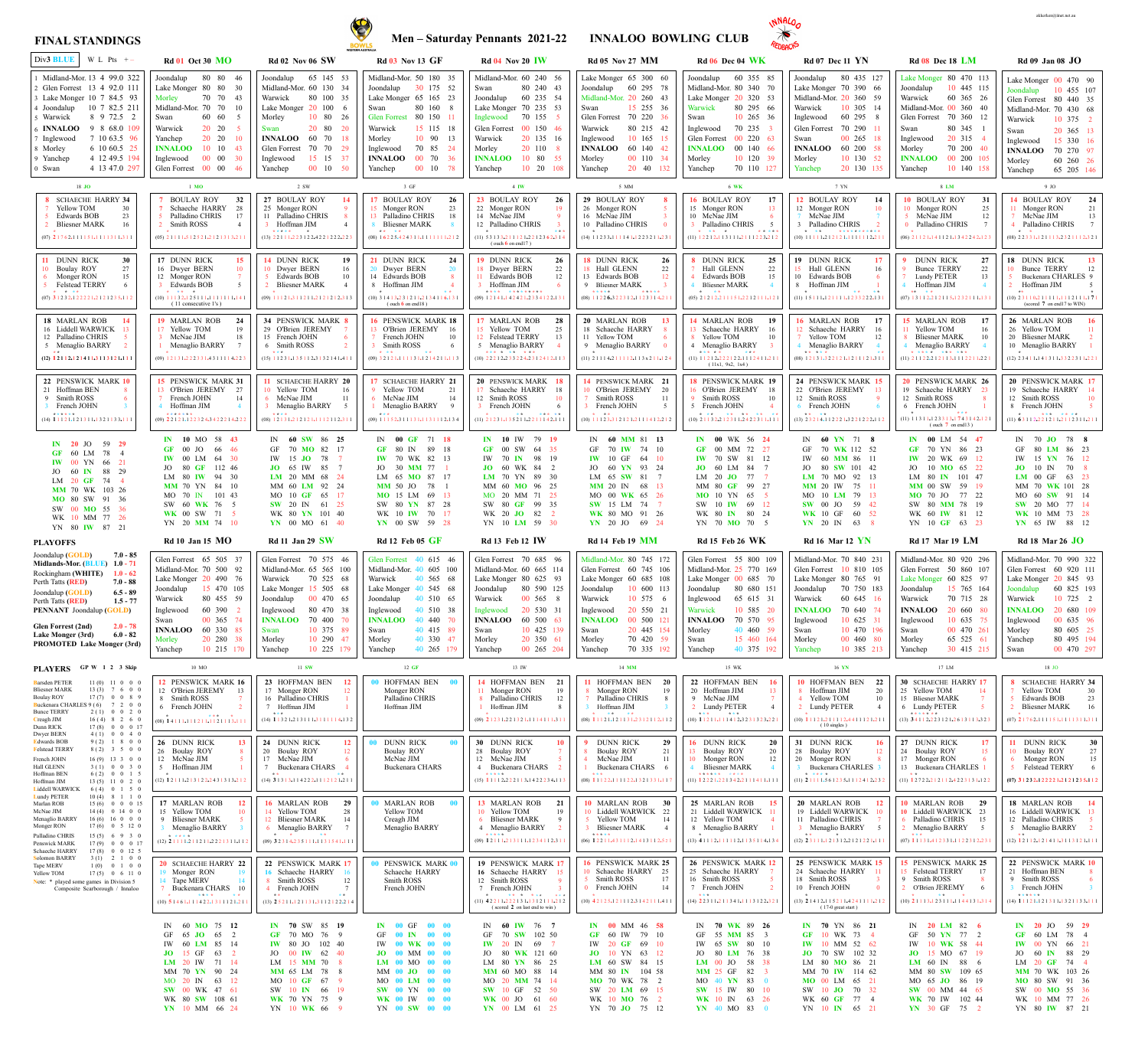

akkerken@iinet.net.au

**SW** 15 IW 80 10 **WK** 10 IN 63 26 **YN** 40 MO 83 0

SW 10 **JO** 70 32 WK 60 **GF** 77 4 YN 10 **IN** 65 21

**SW** 00 MM 44 65 **WK** 70 IW 102 44 **YN** 30 GF 75 2

SW 00 **MO** 55 36 WK 10 MM 77 26 YN 80 **IW** 87 21



## **FINAL STANDINGS**

17 LM 18 JO 9 JO 8 **LM \* \* \***  (05) 2 <sup>1</sup> <sup>2</sup> <sup>1</sup> <sup>2</sup>**.**<sup>2</sup> <sup>1</sup> <sup>1</sup> <sup>1</sup> <sup>5</sup> <sup>1</sup>**.**<sup>2</sup> <sup>2</sup> <sup>1</sup> <sup>2</sup> <sup>1</sup> <sup>1</sup> <sup>1</sup>**.**<sup>1</sup> <sup>2</sup> <sup>1</sup> **Rd 06 Dec 04 WK Rd 07 Dec 11 YN Rd 08 Dec 18 LM Rd 09 Jan 08 JO** IN **60 YN** 71 **8** GF 70 **WK** 112 52 IW 60 **MM** 86 11 JO 80 **SW** 101 42 **LM** 70 MO 92 13 **MM** 20 IW 75 11 MO 10 **LM** 79 13 **SW** 00 JO 59 42 **WK** 10 GF 60 52 **YN** 20 IN 63 8 **IN 00** LM 54 **47 GF** 70 YN 86 23 **IW** 20 WK 69 12 JO 10 **MO** 65 22 LM 80 **IN** 101 47 **MM** 00 SW 59 19 **MO** 70 JO 77 22 SW 80 **MM** 78 19 WK 60 **IW** 81 12 YN 10 **GF** 63 23 IN 70 **JO** 78 **8** GF 80 **LM** 86 23 IW 15 **YN** 76 12 **JO**  $10 \text{ IN}$  70  $LM$  00 GF 63 MM 70 **WK** 101 28 MO 60 **SW** 91 14 **SW** 20 MO 77 14 **WK** 10 MM 73 28 **YN** 65 IW 88 12 IN **70 WK** 89 **26** GF 55 **MM** 85 3 IW 65 **SW** 80 10 JO 80 **LM** 76 38 **LM** 00 JO 58 38 **MM** 25 GF 82 MO 40 **YN** 83 0 **IN 70** YN 86 **21 GF** 10 WK 73 4 **IW** 10 MM 52 62 **JO** 70 SW 102 32 LM 80 **MO** 86 21 MM 70 **IW** 114 62 **MO** 00 LM 65 21 IN **20 LM** 82 **6** GF 50 **YN** 77 2 IW 10 **WK** 58 44 **JO** 15 MO 67 19 **LM** 60 IN 88 6 MM 80 **SW** 109 65 MO 65 **JO** 86 19 **IN 20** JO 59 **29 GF** 60 LM 78 4 **IW** 00 YN 66 21 JO 60 **IN** 88 29 LM 20 **GF** 74 4 **MM** 70 WK 103 26 **MO** 80 SW 91 36 Joondalup 60 355 85 Midland-Mor. 80 340 70 Lake Monger 20 320 53 Warwick 80 295 66 Swan 10 265 36 Inglewood  $70\,235$ Glen Forrest 00 220 63 **INNALOO** 00 140 66 Morley 10 120 39 Yanchep 70 110 127 **IN 00** WK 56 **24 GF** 00 MM 72 27 **IW** 70 SW 81 12 **JO** 60 LM 84 7 LM 20 JO 77 MM 80 **GF** 99 27 **MO** 10 YN 65 SW 10 **IW** 69 12 WK 80 **IN** 80 24 YN 70 **MO** 70 5 **8** DUNN RICK **25** Hall GLENN 22 Edwards BOB 15 Bliesner MARK **14** MARLAN ROB **19** 13 Schaeche HARRY 16 8 Yellow TOM 10 4 Menaglio BARRY 3 **18** PENSWICK MARK **19** 16 O'Brien JEREMY 18 Smith ROSS 10 5 French JOHN 4 **16** BOULAY ROY **17** 15 Monger RON 13 10 McNae JIM 6 Palladino CHRIS (11) 1 <sup>1</sup> <sup>2</sup> <sup>1</sup> <sup>2</sup>**.**<sup>2</sup> <sup>2</sup> <sup>2</sup> <sup>1</sup> <sup>2</sup> <sup>2</sup>**.**<sup>1</sup> <sup>1</sup> <sup>1</sup> <sup>2</sup> <sup>4</sup> <sup>1</sup> <sup>1</sup>**.**<sup>2</sup> 1 1 **\* \* \* \* \* \* \* \*** ( 11x1, 9x2, 1x4 ) (11) 1 <sup>2</sup> <sup>2</sup> <sup>1</sup> <sup>2</sup>**.**<sup>1</sup> <sup>1</sup> <sup>3</sup> <sup>1</sup> <sup>1</sup> <sup>1</sup>**.**<sup>2</sup> <sup>1</sup> <sup>1</sup> <sup>1</sup> <sup>2</sup> <sup>2</sup> <sup>3</sup>**.**<sup>2</sup> 1 2 **\* \* \* \* \* \* \* \* \***  (10) 2 <sup>1</sup> <sup>1</sup> <sup>3</sup> <sup>2</sup>**.**<sup>2</sup> <sup>1</sup> <sup>2</sup> <sup>3</sup> <sup>1</sup> <sup>1</sup>**.**<sup>2</sup> <sup>4</sup> <sup>2</sup> <sup>2</sup> <sup>3</sup> <sup>1</sup> <sup>1</sup>**.**<sup>1</sup> <sup>1</sup> <sup>1</sup> **\* \* \* \* \* \* \* \* \* \* \*** Joondalup 80 435 127 Lake Monger 70 390 66 Midland-Mor. 20 360 59 Warwick 10 305 14 Inglewood 60 295 8 Glen Forrest 70 290 Swan 00 265 18 **INNALOO** 60 200 58 Morley 10 130 52 Yanchep 20 130 135 **12** BOULAY ROY **14** 12 Monger RON 10 McNae JIM 3 Palladino CHRIS **\* \* \* \* \* \* \* \* \* \* \* \* \* \***  (10) 1 <sup>1</sup> <sup>1</sup> <sup>1</sup> <sup>1</sup>**.**<sup>2</sup> <sup>1</sup> <sup>2</sup> <sup>1</sup> <sup>2</sup> <sup>1</sup>**.**<sup>1</sup> <sup>1</sup> <sup>1</sup> <sup>1</sup> <sup>1</sup> <sup>1</sup> <sup>2</sup>**.**<sup>2</sup> <sup>1</sup> <sup>1</sup> **19** DUNN RICK **17** Hall GLENN 16 10 Edwards BOB 8 Hoffman JIM 1 **\* \* \* \* \*** (11) 1 <sup>5</sup> <sup>1</sup> <sup>1</sup> <sup>1</sup>**.**<sup>1</sup> <sup>2</sup> <sup>1</sup> <sup>1</sup> <sup>1</sup> <sup>1</sup>**.**<sup>1</sup> <sup>2</sup> <sup>3</sup> <sup>3</sup> <sup>2</sup> <sup>2</sup> <sup>2</sup>**.**<sup>1</sup> <sup>3</sup> <sup>1</sup> **16** MARLAN ROB **17** Schaeche HARRY 16 Yellow TOM 12 Menaglio BARRY 4 **\* \* \* \* \* \* \*** (08) 1 <sup>2</sup> <sup>1</sup> <sup>3</sup> <sup>1</sup>**.**<sup>3</sup> <sup>2</sup> <sup>2</sup> <sup>1</sup> <sup>2</sup> <sup>1</sup>**.**<sup>1</sup> <sup>2</sup> <sup>1</sup> <sup>1</sup> <sup>1</sup> <sup>2</sup> <sup>1</sup>**.**<sup>3</sup> 1 1 **24** PENSWICK MARK **15** 22 O'Brien JEREMY 13 12 Smith ROSS 6 French JOHN (13) 2 <sup>3</sup> <sup>2</sup> <sup>1</sup> <sup>4</sup>**.**<sup>1</sup> <sup>1</sup> <sup>2</sup> <sup>2</sup> <sup>2</sup> <sup>1</sup>**.**<sup>3</sup> <sup>2</sup> <sup>2</sup> <sup>1</sup> <sup>2</sup> <sup>2</sup> <sup>2</sup>**.**<sup>1</sup> <sup>1</sup> <sup>2</sup> **\* \* \* \*** Lake Monger 80 470 113 Joondalup 10 445 115 Warwick 60 365 26 Midland-Mor. 00 360 40 Glen Forrest 70 360 12 Swan 80 345 1 Inglewood  $20\,315$ Morley 70 200 40 **INNALOO** 00 200 105 Yanchep 10 140 158 **10** BOULAY ROY **31** 10 Monger RON 25 McNae JIM 12 Palladino CHRIS 7 (06) 2 <sup>1</sup> <sup>1</sup> <sup>2</sup> <sup>1</sup>**.**<sup>1</sup> <sup>4</sup> <sup>1</sup> <sup>1</sup> <sup>2</sup> <sup>1</sup>**.**<sup>1</sup> <sup>3</sup> <sup>4</sup> <sup>2</sup> <sup>2</sup> <sup>4</sup> <sup>2</sup>**.**<sup>1</sup> 2 3 **\* 9** DUNN RICK **27** Bunce TERRY 22 Lundy PETER 13 4 Hoffman JIM 4 (07) 1 <sup>3</sup> <sup>1</sup> <sup>1</sup> <sup>2</sup>**.**<sup>2</sup> <sup>1</sup> <sup>2</sup> <sup>1</sup> <sup>1</sup> <sup>5</sup>**.**<sup>1</sup> <sup>2</sup> <sup>3</sup> <sup>2</sup> <sup>1</sup> <sup>1</sup> <sup>1</sup>**.**<sup>1</sup> 3 1 **\*\* \* \***  (11) 2 <sup>1</sup> <sup>1</sup> <sup>2</sup> <sup>2</sup>**.**<sup>2</sup> <sup>1</sup> <sup>2</sup> <sup>1</sup> <sup>1</sup> <sup>3</sup>**.**<sup>1</sup> <sup>1</sup> <sup>1</sup> <sup>2</sup> <sup>2</sup> <sup>1</sup> <sup>1</sup>**.**<sup>2</sup> 2 1 **\* \* \* \* \* \* \* \* \* \* \* 15** MARLAN ROB **17** Yellow TOM 16 Bliesner MARK 10 Menaglio BARRY 4 **20** PENSWICK MARK **26** 19 Schaeche HARRY 23 12 Smith ROSS 8 6 French JOHN 1 **\* \* \* \***  (11) 1 <sup>1</sup> <sup>3</sup> <sup>1</sup> <sup>1</sup>**.**<sup>1</sup> <sup>2</sup> <sup>3</sup> <sup>3</sup> <sup>1</sup> <sup>3</sup>**.**<sup>1</sup> **7** <sup>4</sup> <sup>3</sup> <sup>1</sup> <sup>4</sup> <sup>2</sup>**.**<sup>1</sup> <sup>2</sup> <sup>1</sup> ( ouch **7** on end13 ) Lake Monger  $00\quad470\quad90$ Joondalup 10 455 107 Glen Forrest 80 440 35 Midland-Mor. 70 430 68 Warwick 10 375 2 Swan 20 365 13 Inglewood 15 330 16 **INNALOO** 70 270 97 Morley 60 260 26 Yanchep 65 205 146 (08) 2 <sup>2</sup> <sup>3</sup> <sup>3</sup> <sup>1</sup>**.**<sup>1</sup> <sup>2</sup> <sup>1</sup> <sup>1</sup> <sup>1</sup> <sup>3</sup>**.**<sup>2</sup> <sup>3</sup> <sup>2</sup> <sup>1</sup> <sup>1</sup> <sup>1</sup> <sup>2</sup>**.**<sup>3</sup> <sup>2</sup> <sup>1</sup> **\* \* 14** BOULAY ROY **24** Monger RON 21 McNae JIM 13 Palladino CHRIS 7 **18** DUNN RICK **13** Bunce TERRY 12 5 Buckenara CHARLES 9 2 Hoffman JIM 5 (10) 2 <sup>3</sup> <sup>1</sup> <sup>1</sup> <sup>0</sup>**.**<sup>2</sup> <sup>1</sup> <sup>1</sup> <sup>1</sup> <sup>1</sup> <sup>1</sup>**.**<sup>1</sup> <sup>1</sup> <sup>1</sup> <sup>2</sup> <sup>1</sup> <sup>1</sup> <sup>1</sup>**.**<sup>1</sup> **7** <sup>1</sup> **\*\* \***  (scored **7** on end17 to WIN) (12) 2 <sup>3</sup> <sup>4</sup> <sup>1</sup> <sup>1</sup>**.**<sup>1</sup> <sup>4</sup> <sup>1</sup> <sup>3</sup> <sup>1</sup> <sup>1</sup>**.**<sup>3</sup> <sup>3</sup> <sup>2</sup> <sup>2</sup> <sup>3</sup> <sup>1</sup> <sup>1</sup>**.**<sup>2</sup> 2 1 **\* 26** MARLAN ROB **16** 26 Yellow TOM 20 Bliesner MARK 10 Menaglio BARRY **20** PENSWICK MARK **17** 19 Schaeche HARRY 14 12 Smith ROSS 10 8 French JOHN (11) **6** <sup>3</sup> <sup>1</sup> <sup>1</sup> <sup>2</sup>**.**<sup>2</sup> <sup>2</sup> <sup>1</sup> <sup>2</sup> <sup>1</sup> <sup>1</sup>**.**<sup>2</sup> <sup>1</sup> <sup>1</sup> <sup>2</sup> <sup>3</sup> <sup>1</sup> <sup>1</sup>**.**<sup>2</sup> 1 1 **\* \* \* \* \* \* \* \*** Glen Forrest 55 800 109 Midland-Mor. 25 770 169 Lake Monger 00 685 70 Joondalup 80 680 151 Inglewood 65 615 31 Warwick 10 585 20 **INNALOO** 70 570 95 Morley 40 460 59 Swan 15 460 164 Yanchep 40 375 192 **22** HOFFMAN BEN **16** 20 Hoffman JIM 13 9 McNae JIM 7 2 Lundy PETER 4 (10) **1** <sup>1</sup> <sup>2</sup> <sup>1</sup> <sup>1</sup>**.**<sup>1</sup> <sup>1</sup> <sup>1</sup> <sup>4</sup> <sup>1</sup> <sup>2</sup>**.**<sup>3</sup> <sup>2</sup> <sup>3</sup> <sup>1</sup> <sup>3</sup> <sup>2</sup> <sup>3</sup>**.**<sup>2</sup> <sup>2</sup> <sup>1</sup> **\* \* \* \* \* \* 16** DUNN RICK **20** 13 Boulay ROY 20 10 Monger RON 12 4 Bliesner MARK 4 (11) **1** <sup>2</sup> <sup>2</sup> <sup>2</sup> <sup>1</sup>**.**<sup>2</sup> <sup>2</sup> <sup>1</sup> <sup>3</sup> <sup>4</sup> <sup>2</sup>**.**<sup>2</sup> <sup>1</sup> <sup>1</sup> <sup>1</sup> <sup>4</sup> <sup>1</sup> <sup>1</sup>**.**<sup>1</sup> 1 1 **\* \* \* \* \* \* \* \* \* \* 25** MARLAN ROB **15** 21 Liddell WARWICK 11 12 Yellow TOM 8 Menaglio BARRY 1 **26** PENSWICK MARK **12** 25 Schaeche HARRY 16 Smith ROSS 7 French JOHN 2 (13) **4** <sup>1</sup> <sup>1</sup> <sup>1</sup> <sup>2</sup>**.**<sup>1</sup> <sup>1</sup> <sup>1</sup> <sup>1</sup> <sup>1</sup> <sup>2</sup>**.**<sup>1</sup> <sup>1</sup> <sup>3</sup> <sup>5</sup> <sup>1</sup> <sup>1</sup> <sup>4</sup>**.**<sup>1</sup> 3 4 **\*** (14) **2** <sup>2</sup> <sup>3</sup> <sup>1</sup> <sup>1</sup>**.**<sup>2</sup> <sup>1</sup> <sup>1</sup> <sup>3</sup> <sup>4</sup> <sup>1</sup>**.**<sup>1</sup> <sup>1</sup> <sup>1</sup> <sup>3</sup> <sup>1</sup> <sup>2</sup> <sup>2</sup>**.**<sup>3</sup> <sup>2</sup> <sup>1</sup> **\* \* \*** Midland-Mor. 70 840 231 Glen Forrest 10 810 105 Lake Monger 80 765 91 Joondalup 70 750 183 Warwick 60 645 16 **INNALOO** 70 640 74 Inglewood 10 625 31 Swan 10 470 196 Morley 00 460 80 Yanchep 10 385 213 **10** HOFFMAN BEN **22** 8 Hoffman JIM 20 Yellow TOM 10 2 Lundy PETER 4 **31** DUNN RICK **16** 28 Boulay ROY 12 20 Monger RON Buckenara CHARLES 3 (10) **1** <sup>1</sup> <sup>1</sup> <sup>2</sup> <sup>1</sup>**.**<sup>2</sup> <sup>1</sup> <sup>1</sup> <sup>1</sup> <sup>1</sup> <sup>2</sup>**.**<sup>4</sup> <sup>4</sup> <sup>1</sup> <sup>1</sup> <sup>1</sup> <sup>2</sup> <sup>1</sup>**.**<sup>2</sup> <sup>1</sup> <sup>1</sup> ( 10 singles ) (11) **2** <sup>1</sup> <sup>1</sup> <sup>1</sup> <sup>1</sup>**.**<sup>5</sup> <sup>6</sup> <sup>1</sup> <sup>2</sup> <sup>3</sup> <sup>5</sup>**.**<sup>1</sup> <sup>1</sup> <sup>1</sup> <sup>2</sup> <sup>4</sup> <sup>1</sup> <sup>2</sup>**.**<sup>2</sup> 3 2 **\* \* \* \* \* \* 20** MARLAN ROB **12** 19 Liddell WARWICK 10 11 Palladino CHRIS 3 Menaglio BARRY 5 (12) **2** <sup>3</sup> <sup>1</sup> <sup>1</sup> <sup>1</sup>**.**<sup>1</sup> <sup>2</sup> <sup>1</sup> <sup>3</sup> <sup>1</sup> <sup>2</sup>**.**<sup>2</sup> <sup>1</sup> <sup>2</sup> <sup>1</sup> <sup>2</sup> <sup>2</sup> <sup>1</sup>**.**<sup>1</sup> 1 1 **\* \* \* 25** PENSWICK MARK **15** 24 Schaeche HARRY 11 18 Smith ROSS 10 French JOHN (13) **2** <sup>1</sup> <sup>4</sup> <sup>1</sup> <sup>2</sup>**.**<sup>1</sup> <sup>1</sup> <sup>5</sup> <sup>2</sup> <sup>1</sup> <sup>1</sup>**.**<sup>4</sup> <sup>2</sup> <sup>4</sup> <sup>1</sup> <sup>1</sup> <sup>1</sup> <sup>1</sup>**.**<sup>2</sup> 1 2 **\*** ( 17-0 great start ) Midland-Mor. 80 920 296 Glen Forrest 50 860 107 Lake Monger 60 825 97 Joondalup 15 765 164 Warwick 70 715 28 **INNALOO** 20 660 80 Inglewood 10 635 75 Swan 00 470 261 Morley 65 525 61 Yanchep 30 415 215 **30** SCHAECHE HARRY **17** 25 Yellow TOM 14 15 Bliesner MARK 7 6 Lundy PETER 5 **27** DUNN RICK **17** 24 Boulay ROY 15 17 Monger RON 13 Buckenara CHARLES 1 (11) **1** <sup>2</sup> <sup>7</sup> <sup>2</sup> <sup>2</sup>**.**<sup>2</sup> <sup>1</sup> <sup>2</sup> <sup>1</sup> <sup>1</sup> <sup>2</sup>**.**<sup>4</sup> <sup>2</sup> <sup>2</sup> <sup>3</sup> <sup>1</sup> <sup>3</sup> <sup>1</sup>**.**<sup>1</sup> 2 2 **\* \* 10** MARLAN ROB **29 10** Liddell WARWICK 23 6 Palladino CHRIS 15 2 Menaglio BARRY 5 (07) **1** <sup>1</sup> <sup>1</sup> <sup>3</sup> <sup>1</sup>**.**<sup>4</sup> <sup>1</sup> <sup>2</sup> <sup>3</sup> <sup>3</sup> <sup>1</sup>**.**<sup>1</sup> <sup>1</sup> <sup>2</sup> <sup>2</sup> <sup>3</sup> <sup>1</sup> <sup>2</sup>**.**<sup>2</sup> <sup>3</sup> <sup>1</sup> **\* \* \* 15** PENSWICK MARK **25** 15 Felstead TERRY 17 9 Smith ROSS 8 2 O'Brien JEREMY 6 (10) **2** <sup>1</sup> <sup>1</sup> <sup>1</sup> <sup>3</sup>**.**<sup>1</sup> <sup>2</sup> <sup>3</sup> <sup>1</sup> <sup>1</sup> <sup>1</sup>**.**<sup>1</sup> <sup>1</sup> <sup>4</sup> <sup>4</sup> <sup>1</sup> <sup>3</sup> <sup>1</sup>**.**<sup>3</sup> <sup>1</sup> <sup>4</sup> **\* \* \* \*** (13) **3** <sup>4</sup> <sup>1</sup> <sup>1</sup> <sup>2</sup>**.**<sup>2</sup> <sup>2</sup> <sup>3</sup> <sup>1</sup> <sup>2</sup> <sup>1</sup>**.**<sup>2</sup> <sup>6</sup> <sup>1</sup> <sup>3</sup> <sup>1</sup> <sup>1</sup> <sup>3</sup>**.**<sup>3</sup> <sup>2</sup> <sup>3</sup> **\* \* \* \* \* \* \*** Midland-Mor. 70 990 322 Glen Forrest 60 920 111 Lake Monger 20 845 93 Joondalup 60 825 193 Warwick 10 725 2 **INNALOO** 20 680 109 Inglewood 00 635 96 Morley 80 605 25 Yanchep 80 495 194 Swan 00 470 297 **8** SCHAECHE HARRY **34** Yellow TOM 30 Edwards BOB 23 2 Bliesner MARK 16 **11** DUNN RICK **30** 10 Boulay ROY 27 Monger RON 15 Felstead TERRY **18** MARLAN ROB **14** 16 Liddell WARWICK 13 12 Palladino CHRIS 5 Menaglio BARRY 2 **22** PENSWICK MARK **10** 21 Hoffman BEN 9 Smith ROSS 3 French JOHN 3 (07) **2** <sup>1</sup> <sup>7</sup> <sup>6</sup> <sup>2</sup>**.**<sup>1</sup> <sup>1</sup> <sup>1</sup> <sup>1</sup> <sup>5</sup> <sup>1</sup>**.**<sup>1</sup> <sup>1</sup> <sup>1</sup> <sup>1</sup> <sup>3</sup> <sup>1</sup> <sup>1</sup>**.**<sup>3</sup> 1 1 **\*** (07) **3** <sup>1</sup> <sup>2</sup> <sup>3</sup> <sup>2</sup>**.**<sup>1</sup> <sup>2</sup> <sup>2</sup> <sup>2</sup> <sup>2</sup> <sup>1</sup>**.**<sup>2</sup> <sup>1</sup> <sup>2</sup> <sup>1</sup> <sup>2</sup> <sup>3</sup> <sup>5</sup>**.**<sup>1</sup> <sup>1</sup> <sup>2</sup> (12) **1** <sup>2</sup> <sup>1</sup> <sup>1</sup> <sup>2</sup>**.**<sup>1</sup> <sup>2</sup> <sup>1</sup> <sup>4</sup> <sup>1</sup> <sup>1</sup>**.**<sup>3</sup> <sup>1</sup> <sup>1</sup> <sup>3</sup> <sup>1</sup> <sup>2</sup> <sup>1</sup>**.**<sup>1</sup> <sup>1</sup> <sup>1</sup> **\* \***  (14) **1** <sup>1</sup> <sup>1</sup> <sup>2</sup> <sup>1</sup>**.**<sup>1</sup> <sup>2</sup> <sup>1</sup> <sup>3</sup> <sup>1</sup> <sup>1</sup>**.**<sup>1</sup> <sup>3</sup> <sup>2</sup> <sup>1</sup> <sup>1</sup> <sup>3</sup> <sup>3</sup>**.**<sup>1</sup> <sup>1</sup> <sup>1</sup> **\* \* \* \* \* \***

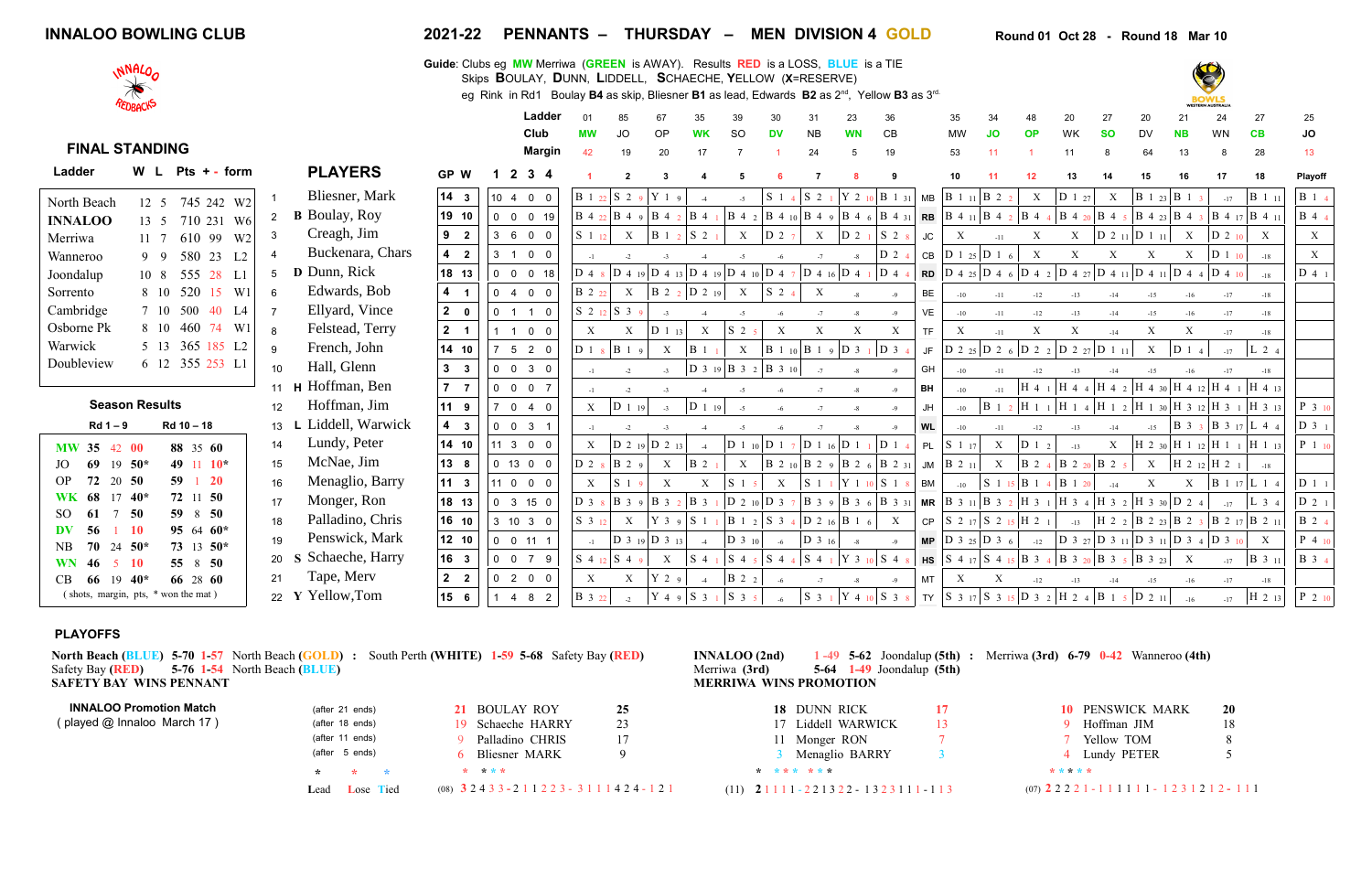| <b>INNALOO BOWLING CLUB</b> | 2021-22 | <b>PENNANTS -</b> | <b>THURSDAY</b><br>$\overline{\phantom{a}}$ | <b>DIVISION 4</b><br><b>MEN</b> | Round 18 Mar 10<br>Round 01 Oct 28 |
|-----------------------------|---------|-------------------|---------------------------------------------|---------------------------------|------------------------------------|

|                                     | REDBACKS              |                          |                |                      |                                        | cy Nilin III Null Doulay D+ as ship, Dilestici DT as ieau, Luwalus DZ as Z |                           |                   |                                                                                                                       |                        |                                                                                                                               |                                                                                     |                                |                                                                                                                       |                                                                                                        |           |                           |                           |                           |                                                                                                                                                                                                                                                                                                                                                                |                           |                           |                           | <b>BOWLS</b><br><b>WESTERN AUSTRALIA</b>                   |                           |              |
|-------------------------------------|-----------------------|--------------------------|----------------|----------------------|----------------------------------------|----------------------------------------------------------------------------|---------------------------|-------------------|-----------------------------------------------------------------------------------------------------------------------|------------------------|-------------------------------------------------------------------------------------------------------------------------------|-------------------------------------------------------------------------------------|--------------------------------|-----------------------------------------------------------------------------------------------------------------------|--------------------------------------------------------------------------------------------------------|-----------|---------------------------|---------------------------|---------------------------|----------------------------------------------------------------------------------------------------------------------------------------------------------------------------------------------------------------------------------------------------------------------------------------------------------------------------------------------------------------|---------------------------|---------------------------|---------------------------|------------------------------------------------------------|---------------------------|--------------|
|                                     |                       |                          |                |                      |                                        | Ladder                                                                     |                           |                   |                                                                                                                       |                        |                                                                                                                               | 30                                                                                  | 31                             | 23                                                                                                                    | 36                                                                                                     |           | 35                        | 34                        |                           | 20                                                                                                                                                                                                                                                                                                                                                             | 27                        | 20                        | 21                        | 24                                                         | 27                        | 25           |
|                                     |                       |                          |                |                      |                                        | Club                                                                       |                           | JO                | OP                                                                                                                    | <b>WK</b>              | <b>SO</b>                                                                                                                     | <b>DV</b>                                                                           | <b>NB</b>                      | <b>WN</b>                                                                                                             | C <sub>B</sub>                                                                                         |           | MW                        | <b>JO</b>                 | <b>OP</b>                 | WK                                                                                                                                                                                                                                                                                                                                                             | <b>SO</b>                 | <b>DV</b>                 | <b>NB</b>                 | <b>WN</b>                                                  | CB                        | JO           |
| <b>FINAL STANDING</b>               |                       |                          |                |                      |                                        | <b>Margin</b>                                                              | 42                        | 19                | 20                                                                                                                    | 17                     |                                                                                                                               |                                                                                     | 24                             | $5^{\circ}$                                                                                                           | 19                                                                                                     |           | 53                        | 11                        |                           | 11                                                                                                                                                                                                                                                                                                                                                             |                           | 64                        | 13                        |                                                            | 28                        | 13           |
| Ladder                              |                       | W L Pts + - form         |                | <b>PLAYERS</b>       | GP W                                   | $2 \t3 \t4$                                                                |                           |                   |                                                                                                                       |                        |                                                                                                                               |                                                                                     |                                |                                                                                                                       |                                                                                                        |           | 10                        |                           |                           | 13                                                                                                                                                                                                                                                                                                                                                             |                           | 15                        | 16                        |                                                            | 18                        | Playoff      |
| North Beach                         | 12 5                  | 745 242 W2               |                | Bliesner, Mark       | $\begin{vmatrix} 14 & 3 \end{vmatrix}$ | 10, 4, 0, 0                                                                |                           |                   | B122 S29 Y19                                                                                                          | $-4$                   | $-5$                                                                                                                          | $\begin{bmatrix} S & 1 & 4 \end{bmatrix}$ $\begin{bmatrix} S & 2 & 1 \end{bmatrix}$ |                                |                                                                                                                       | Y 2 10  B 1 31                                                                                         |           | $MB$ $B$ 1 11 $B$ 2 2     |                           | $\boldsymbol{\mathrm{X}}$ | $ D_1_2_7 $                                                                                                                                                                                                                                                                                                                                                    | X                         |                           |                           | $-17$                                                      | $\mid$ B 1 11             | <b>B</b> 1 4 |
| <b>INNALOO</b>                      |                       | 13 5 710 231 W6          | 2              | <b>B</b> Boulay, Roy | 19 10                                  | 0 0 0 19                                                                   |                           |                   | $B$ 4 22 $B$ 4 9 $B$ 4 2 $B$ 4                                                                                        |                        |                                                                                                                               |                                                                                     |                                |                                                                                                                       |                                                                                                        |           |                           |                           |                           |                                                                                                                                                                                                                                                                                                                                                                |                           |                           |                           |                                                            |                           | $B$ 4 4      |
| Merriwa                             | 11 7                  | 610 99<br>W <sub>2</sub> | $\mathbf{3}$   | Creagh, Jim          | 9 <sub>2</sub>                         | 3 6 0 0                                                                    | $S_1$ 12                  |                   | $X$   B 1 2   S 2 1                                                                                                   |                        | $\mathbf{X}$                                                                                                                  | $D_2$ 7                                                                             |                                | $X$ D 2 1 S 2 8                                                                                                       |                                                                                                        | JC        | X                         | $-11$                     | $\boldsymbol{\mathrm{X}}$ |                                                                                                                                                                                                                                                                                                                                                                | $X$   $D$ 2 11   $D$ 1 11 |                           |                           | $X$ D 2 10                                                 | $\boldsymbol{\mathrm{X}}$ | X            |
| Wanneroo                            | $9 \quad 9$           | 580 23 L2                |                | Buckenara, Chars     | 4 <sub>2</sub>                         | 3 1 0 0                                                                    |                           | $-2$              | $-3$                                                                                                                  |                        | $-5$                                                                                                                          |                                                                                     | $-7$                           | $-8$                                                                                                                  | $\vert$ D 2 4                                                                                          | CB        | $ D_1_{25} D_1_{6}$       |                           | $\boldsymbol{\mathrm{X}}$ |                                                                                                                                                                                                                                                                                                                                                                | $\mathbf X$               | $\boldsymbol{\mathrm{X}}$ | $X_{\mathcal{I}}$         | $\vert$ D 1 10                                             | $-18$                     | X            |
| Joondalup                           | 10 8                  | 555<br>28<br>L1          | $5^{\circ}$    | D Dunn, Rick         | $18$ 13                                | $0\quad 0\quad 0\quad 18$                                                  |                           |                   |                                                                                                                       |                        |                                                                                                                               |                                                                                     |                                |                                                                                                                       |                                                                                                        |           |                           |                           |                           | <b>RD</b> $\begin{bmatrix} D & 4 & 25 \end{bmatrix}$ $\begin{bmatrix} D & 4 & 6 \end{bmatrix}$ $\begin{bmatrix} D & 4 & 2 \end{bmatrix}$ $\begin{bmatrix} D & 4 & 27 \end{bmatrix}$ $\begin{bmatrix} D & 4 & 11 \end{bmatrix}$ $\begin{bmatrix} D & 4 & 11 \end{bmatrix}$ $\begin{bmatrix} D & 4 & 4 \end{bmatrix}$ $\begin{bmatrix} D & 4 & 10 \end{bmatrix}$ |                           |                           |                           |                                                            | $-18$                     | $D_4_1$      |
| Sorrento                            | 8 10                  | 520 15 W1                | 6              | Edwards, Bob         | $4 \quad 1$                            | $0 4 0 0$                                                                  | <b>B</b> 2 22             |                   | $X$   B 2 2   D 2 19                                                                                                  |                        | X                                                                                                                             | S 2 4                                                                               | $\boldsymbol{\mathrm{X}}$      | $-8$                                                                                                                  | $-9$                                                                                                   | <b>BE</b> | $-10$                     | $-11$                     | $-12$                     | $-13$                                                                                                                                                                                                                                                                                                                                                          | $-14$                     |                           | $-16$                     | $-17$                                                      | $-18$                     |              |
| Cambridge                           |                       | 7 10 500 40 L4           | $\overline{7}$ | Ellyard, Vince       | $2 \quad 0$                            | $0 \t1 \t1 \t0$                                                            |                           |                   | $-3$                                                                                                                  |                        | $-5$                                                                                                                          | $-6$                                                                                | $-7$                           | $-8$                                                                                                                  | $-9$                                                                                                   | VE        | $-10$                     | $-11$                     | $-12$                     | $-13$                                                                                                                                                                                                                                                                                                                                                          | $-14$                     | $-15$                     | $-16$                     | $-17$                                                      | $-18$                     |              |
| Osborne Pk                          |                       | 8 10 460 74 W1           | $\mathbf{8}$   | Felstead, Terry      | $2 \quad 1$                            | $1 1 0 0$                                                                  | $\mathbf{X}$              |                   | $X$ $\vert D \vert 1 \vert 13 \vert$                                                                                  | X                      | $\vert$ S 2 5                                                                                                                 | $\mathbf{X}$                                                                        | $\boldsymbol{\mathrm{X}}$      | $\boldsymbol{\mathrm{X}}$                                                                                             | X                                                                                                      | <b>TF</b> | $\boldsymbol{\mathrm{X}}$ | $-11$                     | X                         | X                                                                                                                                                                                                                                                                                                                                                              | $-14$                     | $\boldsymbol{\mathrm{X}}$ | $\boldsymbol{\mathrm{X}}$ | $-17$                                                      | $-18$                     |              |
| Warwick                             |                       | 5 13 365 185 L2          | $\mathbf{q}$   | French, John         | $14$ 10                                | 7 5 2 0                                                                    |                           | $D$ 1 8 $B$ 1 9   | X                                                                                                                     | $\mid$ B 1 1           | $\mathbf{X}$                                                                                                                  |                                                                                     |                                |                                                                                                                       |                                                                                                        | JF        |                           |                           |                           |                                                                                                                                                                                                                                                                                                                                                                |                           | X                         | $\vert$ D 1 4             | $-17$                                                      | $L_2_4$                   |              |
| Doubleview                          |                       | 6 12 355 253 L1          | 10             | Hall, Glenn          | $3 \quad 3$                            | $0 \quad 0 \quad 3 \quad 0$                                                | $-1$                      | $-2$              | $-3$                                                                                                                  |                        | $\left  \begin{array}{ccc} D & 3 & 19 \end{array} \right $ B 3 $\left  \begin{array}{ccc} 2 & B & 3 & 10 \end{array} \right $ |                                                                                     | $-7$                           | $-8$                                                                                                                  | $-9$                                                                                                   | GH        | $-10$                     | $-11$                     | $-12$                     | $-13$                                                                                                                                                                                                                                                                                                                                                          | $-14$                     |                           |                           | $-17$                                                      | $-18$                     |              |
|                                     |                       |                          | 11             | Hoffman, Ben         | 7 <sub>7</sub>                         | $0\quad 0\quad 0\quad 7$                                                   |                           | $-2$              | $-3$                                                                                                                  |                        | $-5$                                                                                                                          |                                                                                     | $-7$                           | $-8$                                                                                                                  |                                                                                                        | BH        | $-10$                     | $-11$                     |                           | $\vert$ H 4 1 H 4 4 H 4 2 H 4 30 H 4 12 H 4 1 H 4 13                                                                                                                                                                                                                                                                                                           |                           |                           |                           |                                                            |                           |              |
|                                     | <b>Season Results</b> |                          | 12             | Hoffman, Jim         | 119                                    | 7 0 4 0                                                                    | X                         | $\vert$ D 1 19    | $-3$                                                                                                                  | $\vert D_1_{19} \vert$ | $-5$                                                                                                                          | $-6$                                                                                | $-7$                           | $-8$                                                                                                                  | $-9$                                                                                                   | JH        | $-10$                     |                           |                           | $\mid$ B 1 2 H 1 1 H 1 4 H 1 2 H 1 30 H 3 12 H 3 1 H 3 13                                                                                                                                                                                                                                                                                                      |                           |                           |                           |                                                            |                           | P 3 10       |
| $Rd 1 - 9$                          |                       | Rd 10 - 18               | 13             | Liddell, Warwick     | $4 \quad 3$                            | $0 \t0 \t3 \t1$                                                            | $-1$                      | $-2$              | $-3$                                                                                                                  | $-4$                   | $-5$                                                                                                                          | $-6$                                                                                | $-7$                           | $-8$                                                                                                                  | $-9$                                                                                                   | <b>WL</b> | $-10$                     | $-11$                     | $-12$                     | $-13$                                                                                                                                                                                                                                                                                                                                                          | $-14$                     | $-15$                     |                           |                                                            |                           | D 3 1        |
| <b>MW 35 42 00</b>                  |                       | 88 35 60                 | 14             | Lundy, Peter         | $14$ 10                                | 11 3 0 0                                                                   | $\mathbf{X}$              |                   | $ D_2 _{19} D_2 _{13} $                                                                                               | $-4$                   |                                                                                                                               |                                                                                     |                                | $\left  \n\begin{array}{ccc ccc}\nD & 1 & 10 & D & 1 & 7 & D & 1 & 16 & D & 1 & 1 & D & 1\n\end{array}\n\right $      |                                                                                                        | PL        | $S_1$ 17                  | $\boldsymbol{\mathrm{X}}$ | $\vert D_1_2 \vert$       | $-13$                                                                                                                                                                                                                                                                                                                                                          |                           |                           |                           | $X$  H 2 30  H 1 12  H 1 1  H 1 13                         |                           | $P_1_{10}$   |
| 69<br>JO                            | $19\ 50*$             | 49 11 $10*$              | 15             | McNae, Jim           | 13 8                                   | $0 13 0 0$                                                                 |                           | $D$ 2 $8$ $B$ 2 9 | X                                                                                                                     | $\mid$ B 2 1           | X                                                                                                                             |                                                                                     |                                |                                                                                                                       |                                                                                                        |           | JM $\vert$ B 2 11         | X                         |                           |                                                                                                                                                                                                                                                                                                                                                                |                           | X                         |                           | $H_2_{12}H_2_{1}$                                          | $-18$                     |              |
| 72<br>OP                            | 20 50                 | 59<br>$1\quad 20$        | 16             | Menaglio, Barry      | $\begin{vmatrix} 11 & 3 \end{vmatrix}$ | 11 0 0 0                                                                   | $\mathbf{X}$              | $S_1$ 9           | $\mathbf{X}$                                                                                                          | $\mathbf X$            | $\vert$ S 1 5                                                                                                                 | X                                                                                   |                                | $ \mathbf{S} \mathbf{1} \mathbf{1}   \mathbf{Y} \mathbf{1} \mathbf{1} \mathbf{0}   \mathbf{S} \mathbf{1} \mathbf{8} $ |                                                                                                        | <b>BM</b> | $-10$                     |                           |                           |                                                                                                                                                                                                                                                                                                                                                                | $-14$                     | $\mathbf X$               | X                         | $ B_1_{17} L_1_4$                                          |                           | $D_1_1$      |
| <b>WK</b><br>68                     | $17 \t 40^*$          | 72 11 50                 | 17             | Monger, Ron          | 18 13                                  | $0 \quad 3 \quad 15 \quad 0$                                               |                           |                   |                                                                                                                       |                        |                                                                                                                               |                                                                                     |                                |                                                                                                                       | D 3 8 B 3 9 B 3 2 B 3 1 D 2 10 D 3 7 B 3 9 B 3 6 B 3 31 MR B 3 11 B 3 2 H 3 1 H 3 4 H 3 2 H 3 30 D 2 4 |           |                           |                           |                           |                                                                                                                                                                                                                                                                                                                                                                |                           |                           |                           | $-17$                                                      | $\lfloor$ L 3 4           | $D_2_1$      |
| $7\phantom{.0}$<br>SO.              | <b>50</b>             | 59 8 50                  | 18             | Palladino, Chris     | 16 10                                  | 3 10 3 0                                                                   | $S$ 3 $12$                |                   | $X$ $Y$ 3 9                                                                                                           | $ S_1 $                |                                                                                                                               |                                                                                     |                                |                                                                                                                       | X                                                                                                      |           | CP S 2 17 S 2 15 H 2 1    |                           |                           |                                                                                                                                                                                                                                                                                                                                                                |                           |                           |                           |                                                            |                           | B 2 4        |
| DV<br>56<br>70                      | <b>10</b><br>24 $50*$ | 95 64 60*<br>73 13 $50*$ | 19             | Penswick, Mark       | $12$ 10                                | $0 \t 0 \t 11 \t 1$                                                        |                           |                   | $\left  \begin{array}{ccc} D & 3 & 19 \end{array} \right $ $\left  \begin{array}{ccc} D & 3 & 13 \end{array} \right $ | $-4$                   | $\vert$ D 3 $_{10}$ $\vert$                                                                                                   | $-6$                                                                                | $\vert$ D 3 $\vert$ 16 $\vert$ | $-8$                                                                                                                  |                                                                                                        |           |                           |                           | $-12$                     |                                                                                                                                                                                                                                                                                                                                                                |                           |                           |                           | $ D \t3 \t27 D \t3 \t11 D \t3 \t11 D \t3 \t4  D \t3 \t10 $ | $\mathbf{X}$              | $P$ 4 10     |
| <b>WN</b><br>5 <sup>5</sup><br>46-  | $\overline{10}$       | 55 8 50                  | 20             | S Schaeche, Harry    | 16 <sub>3</sub>                        | $0 \t 0 \t 7$<br>- 9                                                       |                           | $S$ 4 12 $S$ 4 9  | X                                                                                                                     |                        |                                                                                                                               |                                                                                     |                                |                                                                                                                       |                                                                                                        |           |                           |                           |                           | <b>HS</b> $\begin{bmatrix} S & 4 & 17 \end{bmatrix}$ $\begin{bmatrix} S & 4 & 15 \end{bmatrix}$ $\begin{bmatrix} B & 3 & 4 \end{bmatrix}$ $\begin{bmatrix} B & 3 & 20 \end{bmatrix}$ $\begin{bmatrix} B & 3 & 5 \end{bmatrix}$ $\begin{bmatrix} B & 3 & 23 \end{bmatrix}$                                                                                      |                           |                           | X                         | $-17$                                                      | $\parallel$ B 3 11        | <b>B</b> 3 4 |
| CB<br>66                            | $19 \t40*$            | 66 28 60                 | 21             | Tape, Merv           | 2 <sub>2</sub>                         | $0 2 0 0$                                                                  | $\boldsymbol{\mathrm{X}}$ | X                 | Y29                                                                                                                   | $-4$                   | $\begin{vmatrix} B & 2 & 2 \end{vmatrix}$                                                                                     | $-6$                                                                                | $-7$                           | $-8$                                                                                                                  |                                                                                                        | MT        | X                         | $\boldsymbol{\mathrm{X}}$ | $-12$                     | $-13$                                                                                                                                                                                                                                                                                                                                                          | $-14$                     | $-15$                     | $-16$                     | $-17$                                                      | $-18$                     |              |
| (shots, margin, pts, * won the mat) |                       |                          |                | 22 Y Yellow, Tom     | 15 <sub>6</sub>                        | $1 4 8 2$                                                                  | $B$ 3 $22$                |                   |                                                                                                                       |                        |                                                                                                                               | $-6$                                                                                |                                |                                                                                                                       |                                                                                                        |           |                           |                           |                           | $TV$ S 3 17 S 3 15 D 3 2 H 2 4 B 1 5 D 2 11                                                                                                                                                                                                                                                                                                                    |                           |                           | $-16$                     |                                                            | $-17$  H 2 13             | $P$ 2 10     |

### **PLAYOFFS**

**Guide**: Clubs eg **MW** Merriwa (**GREEN** is AWAY). Results **RED** is a LOSS, **BLUE** is a TIE

Skips **B**OULAY, **D**UNN, **L**IDDELL, **S**CHAECHE, **Y**ELLOW (**X**=RESERVE)

eg Rink in Rd1 Boulay **B4** as skip, Bliesner **B1** as lead, Edwards **B2** as 2nd, Yellow **B3** as 3rd.

| $5-76$ 1-54 North Beach (BLUE)<br>Safety Bay ( <b>RED</b> )<br><b>SAFETY BAY WINS PENNANT</b> |                   | North Beach (BLUE) 5-70 1-57 North Beach (GOLD) : South Perth (WHITE) 1-59 5-68 Safety Bay (RED) | INNALOO(2nd)<br>Merriwa (3rd)<br>5-64 $1-49$ Joondalup (5th)<br><b>MERRIWA WINS PROMOTION</b> | $1 - 49$ 5-62 Joondalup (5th) : Merriwa (3rd) 6-79 0-42 Wanneroo (4th) |
|-----------------------------------------------------------------------------------------------|-------------------|--------------------------------------------------------------------------------------------------|-----------------------------------------------------------------------------------------------|------------------------------------------------------------------------|
| <b>INNALOO Promotion Match</b>                                                                | (after 21 ends)   | 21 BOULAY ROY<br>25                                                                              | 18 DUNN RICK                                                                                  | <b>10 PENSWICK MARK</b><br>20                                          |
| (played @ Innaloo March 17)                                                                   | (after 18 ends)   | 19 Schaeche HARRY<br>23                                                                          | 17 Liddell WARWICK<br>13                                                                      | Hoffman JIM<br>18                                                      |
|                                                                                               | (after 11 ends)   | Palladino CHRIS<br>17                                                                            | 11 Monger RON                                                                                 | Yellow TOM                                                             |
|                                                                                               | (after 5 ends)    | <b>Bliesner MARK</b><br>Ő                                                                        | Menaglio BARRY                                                                                | 4 Lundy PETER                                                          |
|                                                                                               | $\sim$<br>-skr    | * * * *                                                                                          | * *** ***                                                                                     | * * * * *                                                              |
|                                                                                               | Lose Tied<br>Lead | $(08)$ 3 2 4 3 3 - 2 1 1 2 2 3 - 3 1 1 1 4 2 4 - 1 2 1                                           | $(11)$ $21111-221322-1323111-113$                                                             | $(07)$ 2 2 2 2 1 - 1 1 1 1 1 1 - 1 2 3 1 2 1 2 - 1 1 1                 |



### **Interact (3rd)** 6-79 0-42 **Wanneroo** (4th)



| Ladder         |                 |                 | Pts + - form |                |
|----------------|-----------------|-----------------|--------------|----------------|
| North Beach    | 12 <sup>°</sup> | $5\overline{)}$ | 745 242 W2   |                |
| <b>INNALOO</b> | 13              | 5               | 710 231      | W6             |
| Merriwa        | 11              | 7               | 610<br>99    | W <sub>2</sub> |
| Wanneroo       | 9               | 9               | 580<br>23    | L <sub>2</sub> |
| Joondalup      | 10              | 8               | 555 28       | L1             |
| Sorrento       | 8               | 10              | 520.<br>15   | W1             |
| Cambridge      | 7               | 10              | 500<br>40    | I 4            |
| Osborne Pk     | 8               | 10              | 460<br>-74   | W1             |
| Warwick        | 5               | 13              | 365 185      | L2             |
| Doubleview     | 6               | 12.             | 355 253      | L1             |
|                |                 |                 |              |                |

|                            | Rd 1 – 9 |                       | Rd 10 - 18                          |               |                       |
|----------------------------|----------|-----------------------|-------------------------------------|---------------|-----------------------|
| <b>MW 35 42 00</b>         |          |                       |                                     | 88 35 60      |                       |
| JO –                       |          | $69$ 19 50*           |                                     |               | 49 11 10 <sup>*</sup> |
| OP                         | 72 20 50 |                       |                                     | $59 \t1 \t20$ |                       |
| WK 68 17 40*               |          |                       |                                     | 72 11 50      |                       |
| SO.                        | 61 7 50  |                       |                                     | 59 8 50       |                       |
| $DV$ 56 1 10               |          |                       |                                     |               | $95\quad64\quad60*$   |
| $NB$ 70 24 50 <sup>*</sup> |          |                       |                                     |               | $73 \t13 \t50*$       |
| WN 46 5                    |          | 10                    |                                     | 55 8 50       |                       |
| CR —                       |          | 66 19 40 <sup>*</sup> |                                     | 66 28 60      |                       |
|                            |          |                       | (shots, margin, pts, * won the mat) |               |                       |

|           | <b>10 PENSWICK MARK</b>                     | 20 |
|-----------|---------------------------------------------|----|
|           | 9 Hoffman JIM                               | 18 |
|           | 7 Yellow TOM                                | 8  |
|           | 4 Lundy PETER                               | 5  |
| * * * * * |                                             |    |
|           | 2 2 2 2 1 - 1 1 1 1 1 1 - 1 2 3 1 2 1 2 - 1 |    |